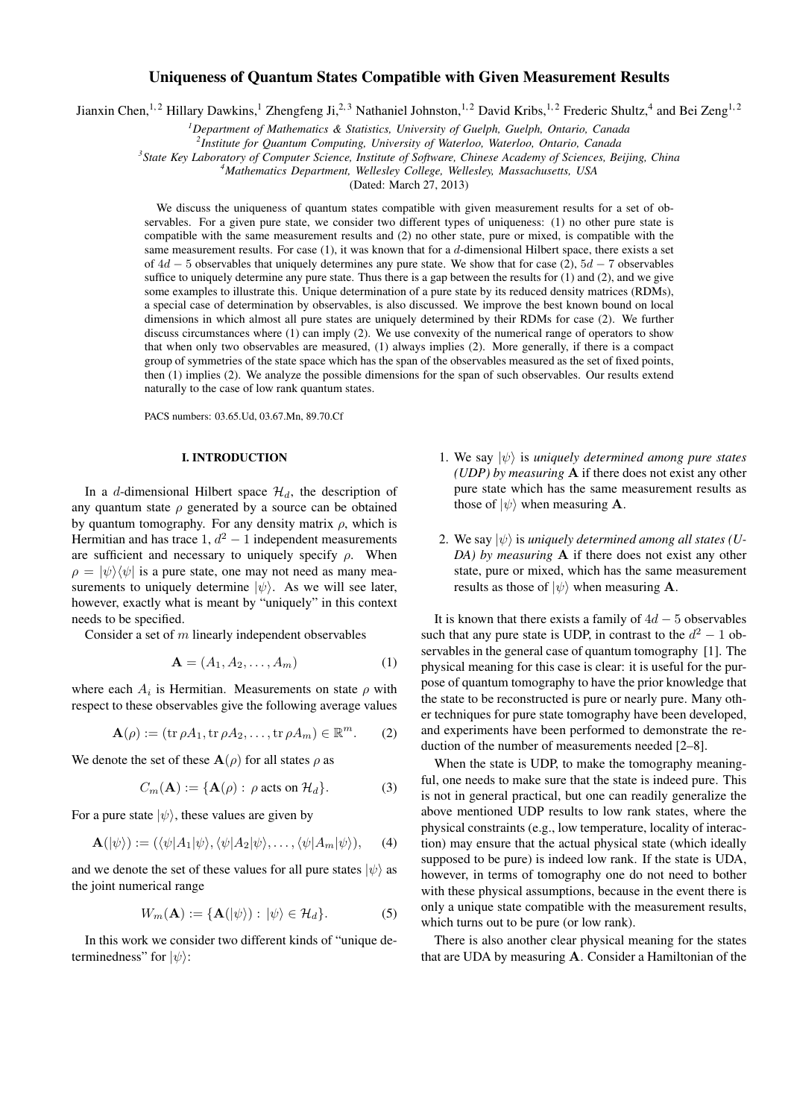# Uniqueness of Quantum States Compatible with Given Measurement Results

Jianxin Chen,<sup>1,2</sup> Hillary Dawkins,<sup>1</sup> Zhengfeng Ji,<sup>2,3</sup> Nathaniel Johnston,<sup>1,2</sup> David Kribs,<sup>1,2</sup> Frederic Shultz,<sup>4</sup> and Bei Zeng<sup>1,2</sup>

*<sup>1</sup>Department of Mathematics & Statistics, University of Guelph, Guelph, Ontario, Canada*

*2 Institute for Quantum Computing, University of Waterloo, Waterloo, Ontario, Canada*

*3 State Key Laboratory of Computer Science, Institute of Software, Chinese Academy of Sciences, Beijing, China*

*<sup>4</sup>Mathematics Department, Wellesley College, Wellesley, Massachusetts, USA*

(Dated: March 27, 2013)

We discuss the uniqueness of quantum states compatible with given measurement results for a set of observables. For a given pure state, we consider two different types of uniqueness: (1) no other pure state is compatible with the same measurement results and (2) no other state, pure or mixed, is compatible with the same measurement results. For case  $(1)$ , it was known that for a d-dimensional Hilbert space, there exists a set of  $4d - 5$  observables that uniquely determines any pure state. We show that for case (2),  $5d - 7$  observables suffice to uniquely determine any pure state. Thus there is a gap between the results for  $(1)$  and  $(2)$ , and we give some examples to illustrate this. Unique determination of a pure state by its reduced density matrices (RDMs), a special case of determination by observables, is also discussed. We improve the best known bound on local dimensions in which almost all pure states are uniquely determined by their RDMs for case (2). We further discuss circumstances where (1) can imply (2). We use convexity of the numerical range of operators to show that when only two observables are measured, (1) always implies (2). More generally, if there is a compact group of symmetries of the state space which has the span of the observables measured as the set of fixed points, then (1) implies (2). We analyze the possible dimensions for the span of such observables. Our results extend naturally to the case of low rank quantum states.

PACS numbers: 03.65.Ud, 03.67.Mn, 89.70.Cf

# I. INTRODUCTION

In a d-dimensional Hilbert space  $\mathcal{H}_d$ , the description of any quantum state  $\rho$  generated by a source can be obtained by quantum tomography. For any density matrix  $\rho$ , which is Hermitian and has trace  $1, d^2 - 1$  independent measurements are sufficient and necessary to uniquely specify  $\rho$ . When  $\rho = |\psi\rangle\langle\psi|$  is a pure state, one may not need as many measurements to uniquely determine  $|\psi\rangle$ . As we will see later, however, exactly what is meant by "uniquely" in this context needs to be specified.

Consider a set of  $m$  linearly independent observables

$$
\mathbf{A} = (A_1, A_2, \dots, A_m) \tag{1}
$$

where each  $A_i$  is Hermitian. Measurements on state  $\rho$  with respect to these observables give the following average values

$$
\mathbf{A}(\rho) := (\operatorname{tr} \rho A_1, \operatorname{tr} \rho A_2, \dots, \operatorname{tr} \rho A_m) \in \mathbb{R}^m. \qquad (2)
$$

We denote the set of these  $\mathbf{A}(\rho)$  for all states  $\rho$  as

$$
C_m(\mathbf{A}) := \{ \mathbf{A}(\rho) : \rho \text{ acts on } \mathcal{H}_d \}. \tag{3}
$$

For a pure state  $|\psi\rangle$ , these values are given by

$$
\mathbf{A}(|\psi\rangle) := (\langle \psi | A_1 | \psi \rangle, \langle \psi | A_2 | \psi \rangle, \dots, \langle \psi | A_m | \psi \rangle), \quad (4)
$$

and we denote the set of these values for all pure states  $|\psi\rangle$  as the joint numerical range

$$
W_m(\mathbf{A}) := \{ \mathbf{A}(|\psi\rangle) : |\psi\rangle \in \mathcal{H}_d \}.
$$
 (5)

In this work we consider two different kinds of "unique determinedness" for  $|\psi\rangle$ :

- 1. We say  $|\psi\rangle$  is *uniquely determined among pure states (UDP) by measuring* A if there does not exist any other pure state which has the same measurement results as those of  $|\psi\rangle$  when measuring **A**.
- 2. We say  $|\psi\rangle$  is *uniquely determined among all states (U-DA) by measuring* A if there does not exist any other state, pure or mixed, which has the same measurement results as those of  $|\psi\rangle$  when measuring **A**.

It is known that there exists a family of  $4d - 5$  observables such that any pure state is UDP, in contrast to the  $d^2 - 1$  observables in the general case of quantum tomography [1]. The physical meaning for this case is clear: it is useful for the purpose of quantum tomography to have the prior knowledge that the state to be reconstructed is pure or nearly pure. Many other techniques for pure state tomography have been developed, and experiments have been performed to demonstrate the reduction of the number of measurements needed [2–8].

When the state is UDP, to make the tomography meaningful, one needs to make sure that the state is indeed pure. This is not in general practical, but one can readily generalize the above mentioned UDP results to low rank states, where the physical constraints (e.g., low temperature, locality of interaction) may ensure that the actual physical state (which ideally supposed to be pure) is indeed low rank. If the state is UDA, however, in terms of tomography one do not need to bother with these physical assumptions, because in the event there is only a unique state compatible with the measurement results, which turns out to be pure (or low rank).

There is also another clear physical meaning for the states that are UDA by measuring A. Consider a Hamiltonian of the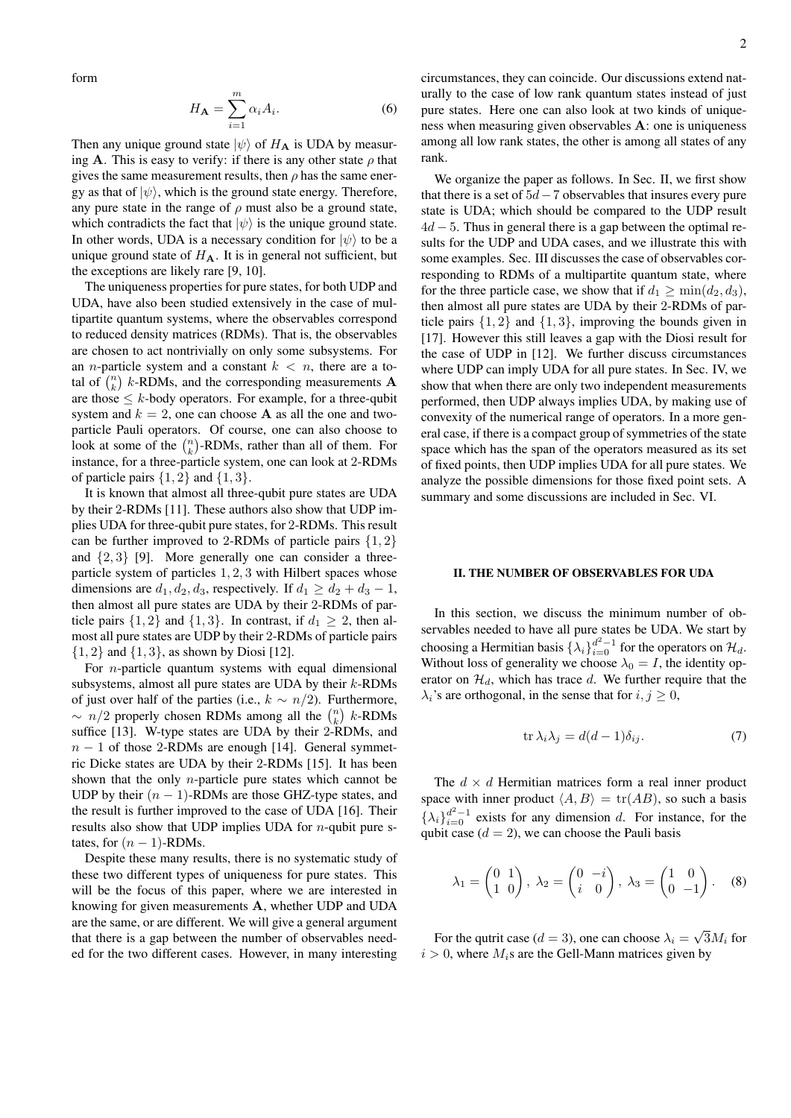form

$$
H_{\mathbf{A}} = \sum_{i=1}^{m} \alpha_i A_i.
$$
 (6)

Then any unique ground state  $|\psi\rangle$  of  $H_A$  is UDA by measuring A. This is easy to verify: if there is any other state  $\rho$  that gives the same measurement results, then  $\rho$  has the same energy as that of  $|\psi\rangle$ , which is the ground state energy. Therefore, any pure state in the range of  $\rho$  must also be a ground state, which contradicts the fact that  $|\psi\rangle$  is the unique ground state. In other words, UDA is a necessary condition for  $|\psi\rangle$  to be a unique ground state of  $H_A$ . It is in general not sufficient, but the exceptions are likely rare [9, 10].

The uniqueness properties for pure states, for both UDP and UDA, have also been studied extensively in the case of multipartite quantum systems, where the observables correspond to reduced density matrices (RDMs). That is, the observables are chosen to act nontrivially on only some subsystems. For an *n*-particle system and a constant  $k < n$ , there are a total of  $\binom{n}{k}$  k-RDMs, and the corresponding measurements **A** are those  $\leq k$ -body operators. For example, for a three-qubit system and  $k = 2$ , one can choose **A** as all the one and twoparticle Pauli operators. Of course, one can also choose to look at some of the  $\binom{n}{k}$ -RDMs, rather than all of them. For instance, for a three-particle system, one can look at 2-RDMs of particle pairs  $\{1, 2\}$  and  $\{1, 3\}$ .

It is known that almost all three-qubit pure states are UDA by their 2-RDMs [11]. These authors also show that UDP implies UDA for three-qubit pure states, for 2-RDMs. This result can be further improved to 2-RDMs of particle pairs  $\{1, 2\}$ and  $\{2, 3\}$  [9]. More generally one can consider a threeparticle system of particles 1, 2, 3 with Hilbert spaces whose dimensions are  $d_1, d_2, d_3$ , respectively. If  $d_1 \geq d_2 + d_3 - 1$ , then almost all pure states are UDA by their 2-RDMs of particle pairs  $\{1, 2\}$  and  $\{1, 3\}$ . In contrast, if  $d_1 \geq 2$ , then almost all pure states are UDP by their 2-RDMs of particle pairs  $\{1, 2\}$  and  $\{1, 3\}$ , as shown by Diosi [12].

For *n*-particle quantum systems with equal dimensional subsystems, almost all pure states are UDA by their k-RDMs of just over half of the parties (i.e.,  $k \sim n/2$ ). Furthermore,  $\sim n/2$  properly chosen RDMs among all the  $\binom{n}{k}$  k-RDMs suffice [13]. W-type states are UDA by their 2-RDMs, and  $n - 1$  of those 2-RDMs are enough [14]. General symmetric Dicke states are UDA by their 2-RDMs [15]. It has been shown that the only n-particle pure states which cannot be UDP by their  $(n - 1)$ -RDMs are those GHZ-type states, and the result is further improved to the case of UDA [16]. Their results also show that UDP implies UDA for  $n$ -qubit pure states, for  $(n - 1)$ -RDMs.

Despite these many results, there is no systematic study of these two different types of uniqueness for pure states. This will be the focus of this paper, where we are interested in knowing for given measurements A, whether UDP and UDA are the same, or are different. We will give a general argument that there is a gap between the number of observables needed for the two different cases. However, in many interesting

circumstances, they can coincide. Our discussions extend naturally to the case of low rank quantum states instead of just pure states. Here one can also look at two kinds of uniqueness when measuring given observables A: one is uniqueness among all low rank states, the other is among all states of any rank.

We organize the paper as follows. In Sec. II, we first show that there is a set of  $5d-7$  observables that insures every pure state is UDA; which should be compared to the UDP result  $4d - 5$ . Thus in general there is a gap between the optimal results for the UDP and UDA cases, and we illustrate this with some examples. Sec. III discusses the case of observables corresponding to RDMs of a multipartite quantum state, where for the three particle case, we show that if  $d_1 \ge \min(d_2, d_3)$ , then almost all pure states are UDA by their 2-RDMs of particle pairs  $\{1, 2\}$  and  $\{1, 3\}$ , improving the bounds given in [17]. However this still leaves a gap with the Diosi result for the case of UDP in [12]. We further discuss circumstances where UDP can imply UDA for all pure states. In Sec. IV, we show that when there are only two independent measurements performed, then UDP always implies UDA, by making use of convexity of the numerical range of operators. In a more general case, if there is a compact group of symmetries of the state space which has the span of the operators measured as its set of fixed points, then UDP implies UDA for all pure states. We analyze the possible dimensions for those fixed point sets. A summary and some discussions are included in Sec. VI.

## II. THE NUMBER OF OBSERVABLES FOR UDA

In this section, we discuss the minimum number of observables needed to have all pure states be UDA. We start by choosing a Hermitian basis  $\{\lambda_i\}_{i=0}^{d^2-1}$  for the operators on  $\mathcal{H}_d$ . Without loss of generality we choose  $\lambda_0 = I$ , the identity operator on  $\mathcal{H}_d$ , which has trace d. We further require that the  $\lambda_i$ 's are orthogonal, in the sense that for  $i, j \geq 0$ ,

$$
\operatorname{tr}\lambda_i\lambda_j = d(d-1)\delta_{ij}.\tag{7}
$$

The  $d \times d$  Hermitian matrices form a real inner product space with inner product  $\langle A, B \rangle = \text{tr}(AB)$ , so such a basis  $\{\lambda_i\}_{i=0}^{d^2-1}$  exists for any dimension d. For instance, for the qubit case  $(d = 2)$ , we can choose the Pauli basis

$$
\lambda_1 = \begin{pmatrix} 0 & 1 \\ 1 & 0 \end{pmatrix}, \ \lambda_2 = \begin{pmatrix} 0 & -i \\ i & 0 \end{pmatrix}, \ \lambda_3 = \begin{pmatrix} 1 & 0 \\ 0 & -1 \end{pmatrix}.
$$
 (8)

For the qutrit case ( $d = 3$ ), one can choose  $\lambda_i =$ √  $3M_i$  for  $i > 0$ , where  $M_i$ s are the Gell-Mann matrices given by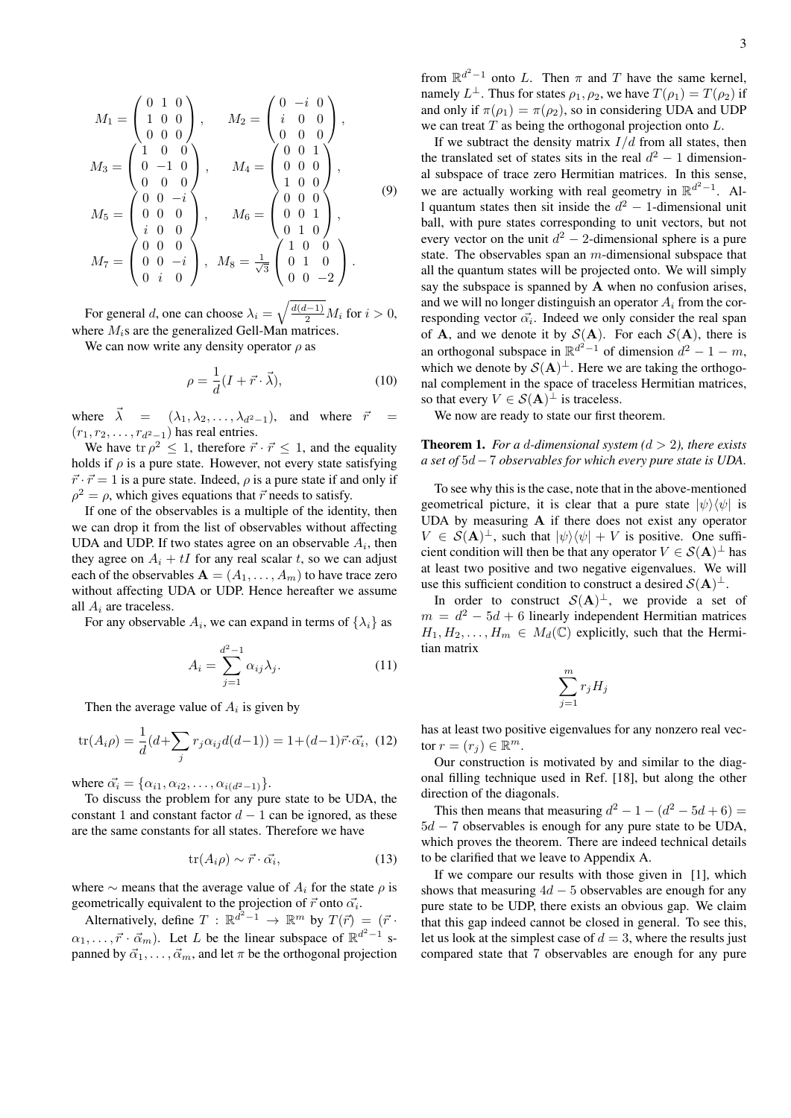$$
M_1 = \begin{pmatrix} 0 & 1 & 0 \\ 1 & 0 & 0 \\ 0 & 0 & 0 \end{pmatrix}, \t M_2 = \begin{pmatrix} 0 & -i & 0 \\ i & 0 & 0 \\ 0 & 0 & 0 \end{pmatrix},
$$
  
\n
$$
M_3 = \begin{pmatrix} 1 & 0 & 0 \\ 0 & -1 & 0 \\ 0 & 0 & 0 \end{pmatrix}, \t M_4 = \begin{pmatrix} 0 & 0 & 1 \\ 0 & 0 & 0 \\ 1 & 0 & 0 \end{pmatrix},
$$
  
\n
$$
M_5 = \begin{pmatrix} 0 & 0 & -i \\ 0 & 0 & 0 \\ i & 0 & 0 \end{pmatrix}, \t M_6 = \begin{pmatrix} 0 & 0 & 0 \\ 0 & 0 & 0 \\ 0 & 1 & 0 \end{pmatrix},
$$
  
\n
$$
M_7 = \begin{pmatrix} 0 & 0 & 0 \\ 0 & 0 & -i \\ 0 & i & 0 \end{pmatrix}, \t M_8 = \frac{1}{\sqrt{3}} \begin{pmatrix} 1 & 0 & 0 \\ 0 & 1 & 0 \\ 0 & 0 & -2 \end{pmatrix}.
$$
 (9)

For general *d*, one can choose  $\lambda_i = \sqrt{\frac{d(d-1)}{2}} M_i$  for  $i > 0$ , where  $M_i$ s are the generalized Gell-Man matrices.

We can now write any density operator  $\rho$  as

$$
\rho = \frac{1}{d}(I + \vec{r} \cdot \vec{\lambda}),\tag{10}
$$

where  $\vec{\lambda} = (\lambda_1, \lambda_2, \ldots, \lambda_{d^2-1})$ , and where  $\vec{r}$  $(r_1, r_2, \ldots, r_{d^2-1})$  has real entries.

We have tr  $\rho^2 \leq 1$ , therefore  $\vec{r} \cdot \vec{r} \leq 1$ , and the equality holds if  $\rho$  is a pure state. However, not every state satisfying  $\vec{r} \cdot \vec{r} = 1$  is a pure state. Indeed,  $\rho$  is a pure state if and only if  $\rho^2 = \rho$ , which gives equations that  $\vec{r}$  needs to satisfy.

If one of the observables is a multiple of the identity, then we can drop it from the list of observables without affecting UDA and UDP. If two states agree on an observable  $A_i$ , then they agree on  $A_i + tI$  for any real scalar t, so we can adjust each of the observables  $A = (A_1, \ldots, A_m)$  to have trace zero without affecting UDA or UDP. Hence hereafter we assume all  $A_i$  are traceless.

For any observable  $A_i$ , we can expand in terms of  $\{\lambda_i\}$  as

$$
A_i = \sum_{j=1}^{d^2-1} \alpha_{ij} \lambda_j.
$$
 (11)

Then the average value of  $A_i$  is given by

$$
\text{tr}(A_i \rho) = \frac{1}{d} (d + \sum_j r_j \alpha_{ij} d(d - 1)) = 1 + (d - 1)\vec{r} \cdot \vec{\alpha_i}, \tag{12}
$$

where  $\vec{\alpha_i} = {\alpha_{i1}, \alpha_{i2}, \dots, \alpha_{i(d^2-1)}}$ .

To discuss the problem for any pure state to be UDA, the constant 1 and constant factor  $d-1$  can be ignored, as these are the same constants for all states. Therefore we have

$$
\text{tr}(A_i \rho) \sim \vec{r} \cdot \vec{\alpha_i},\tag{13}
$$

where  $\sim$  means that the average value of  $A_i$  for the state  $\rho$  is geometrically equivalent to the projection of  $\vec{r}$  onto  $\vec{\alpha_i}$ .

Alternatively, define  $T : \mathbb{R}^{d^2-1} \to \mathbb{R}^m$  by  $T(\vec{r}) = (\vec{r} \cdot \vec{r})$  $\alpha_1, \ldots, \vec{r} \cdot \vec{\alpha}_m$ ). Let L be the linear subspace of  $\mathbb{R}^{d^2-1}$  spanned by  $\vec{\alpha}_1, \ldots, \vec{\alpha}_m$ , and let  $\pi$  be the orthogonal projection

from  $\mathbb{R}^{d^2-1}$  onto L. Then  $\pi$  and T have the same kernel, namely  $L^{\perp}$ . Thus for states  $\rho_1, \rho_2$ , we have  $T(\rho_1) = T(\rho_2)$  if and only if  $\pi(\rho_1) = \pi(\rho_2)$ , so in considering UDA and UDP we can treat  $T$  as being the orthogonal projection onto  $L$ .

If we subtract the density matrix  $I/d$  from all states, then the translated set of states sits in the real  $d^2 - 1$  dimensional subspace of trace zero Hermitian matrices. In this sense, we are actually working with real geometry in  $\mathbb{R}^{d^2-1}$ . All quantum states then sit inside the  $d^2 - 1$ -dimensional unit ball, with pure states corresponding to unit vectors, but not every vector on the unit  $d^2 - 2$ -dimensional sphere is a pure state. The observables span an  $m$ -dimensional subspace that all the quantum states will be projected onto. We will simply say the subspace is spanned by  $A$  when no confusion arises, and we will no longer distinguish an operator  $A_i$  from the corresponding vector  $\vec{\alpha_i}$ . Indeed we only consider the real span of **A**, and we denote it by  $S(A)$ . For each  $S(A)$ , there is an orthogonal subspace in  $\mathbb{R}^{d^2-1}$  of dimension  $d^2-1-m$ , which we denote by  $S(A)^{\perp}$ . Here we are taking the orthogonal complement in the space of traceless Hermitian matrices, so that every  $V \in S(A)^{\perp}$  is traceless.

We now are ready to state our first theorem.

# **Theorem 1.** *For a d-dimensional system*  $(d > 2)$ *, there exists a set of* 5d−7 *observables for which every pure state is UDA.*

To see why this is the case, note that in the above-mentioned geometrical picture, it is clear that a pure state  $|\psi\rangle\langle\psi|$  is UDA by measuring A if there does not exist any operator  $V \in \mathcal{S}(\mathbf{A})^{\perp}$ , such that  $|\psi\rangle\langle\psi| + V$  is positive. One sufficient condition will then be that any operator  $V \in S(A)^{\perp}$  has at least two positive and two negative eigenvalues. We will use this sufficient condition to construct a desired  $S(A)^{\perp}$ .

In order to construct  $S(A)^{\perp}$ , we provide a set of  $m = d^2 - 5d + 6$  linearly independent Hermitian matrices  $H_1, H_2, \ldots, H_m \in M_d(\mathbb{C})$  explicitly, such that the Hermitian matrix

$$
\sum_{j=1}^m r_j H_j
$$

has at least two positive eigenvalues for any nonzero real vector  $r = (r_j) \in \mathbb{R}^m$ .

Our construction is motivated by and similar to the diagonal filling technique used in Ref. [18], but along the other direction of the diagonals.

This then means that measuring  $d^2 - 1 - (d^2 - 5d + 6) =$  $5d - 7$  observables is enough for any pure state to be UDA, which proves the theorem. There are indeed technical details to be clarified that we leave to Appendix A.

If we compare our results with those given in [1], which shows that measuring  $4d - 5$  observables are enough for any pure state to be UDP, there exists an obvious gap. We claim that this gap indeed cannot be closed in general. To see this, let us look at the simplest case of  $d = 3$ , where the results just compared state that 7 observables are enough for any pure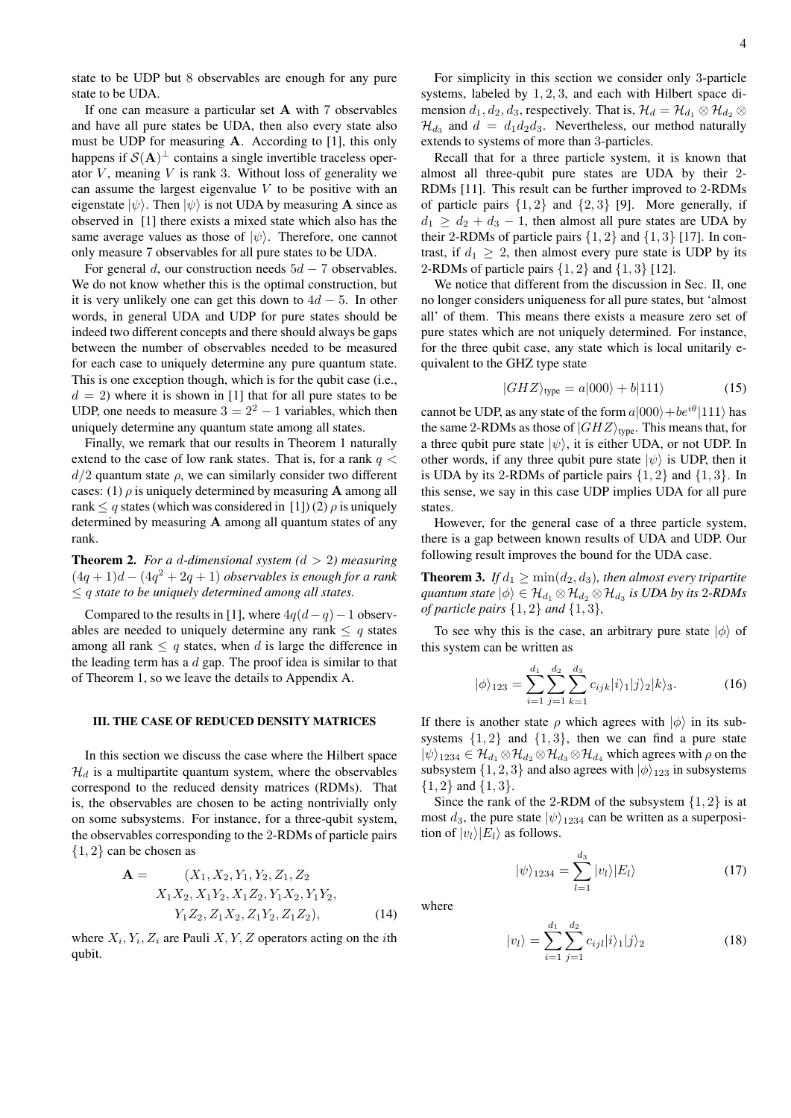state to be UDP but 8 observables are enough for any pure state to be UDA.

If one can measure a particular set A with 7 observables and have all pure states be UDA, then also every state also must be UDP for measuring A. According to [1], this only happens if  $S(A)^{\perp}$  contains a single invertible traceless operator  $V$ , meaning  $V$  is rank 3. Without loss of generality we can assume the largest eigenvalue  $V$  to be positive with an eigenstate  $|\psi\rangle$ . Then  $|\psi\rangle$  is not UDA by measuring **A** since as observed in [1] there exists a mixed state which also has the same average values as those of  $|\psi\rangle$ . Therefore, one cannot only measure 7 observables for all pure states to be UDA.

For general d, our construction needs  $5d - 7$  observables. We do not know whether this is the optimal construction, but it is very unlikely one can get this down to  $4d - 5$ . In other words, in general UDA and UDP for pure states should be indeed two different concepts and there should always be gaps between the number of observables needed to be measured for each case to uniquely determine any pure quantum state. This is one exception though, which is for the qubit case (i.e.,  $d = 2$ ) where it is shown in [1] that for all pure states to be UDP, one needs to measure  $3 = 2^2 - 1$  variables, which then uniquely determine any quantum state among all states.

Finally, we remark that our results in Theorem 1 naturally extend to the case of low rank states. That is, for a rank  $q <$  $d/2$  quantum state  $\rho$ , we can similarly consider two different cases: (1)  $\rho$  is uniquely determined by measuring **A** among all rank  $\leq q$  states (which was considered in [1]) (2)  $\rho$  is uniquely determined by measuring A among all quantum states of any rank.

**Theorem 2.** For a d-dimensional system  $(d > 2)$  measuring  $(4q+1)d - (4q<sup>2</sup>+2q+1)$  *observables is enough for a rank* ≤ q *state to be uniquely determined among all states.*

Compared to the results in [1], where  $4q(d-q)-1$  observables are needed to uniquely determine any rank  $\leq q$  states among all rank  $\leq q$  states, when d is large the difference in the leading term has a  $d$  gap. The proof idea is similar to that of Theorem 1, so we leave the details to Appendix A.

#### III. THE CASE OF REDUCED DENSITY MATRICES

In this section we discuss the case where the Hilbert space  $\mathcal{H}_d$  is a multipartite quantum system, where the observables correspond to the reduced density matrices (RDMs). That is, the observables are chosen to be acting nontrivially only on some subsystems. For instance, for a three-qubit system, the observables corresponding to the 2-RDMs of particle pairs {1, 2} can be chosen as

$$
\mathbf{A} = \begin{cases} (X_1, X_2, Y_1, Y_2, Z_1, Z_2) \\ X_1 X_2, X_1 Y_2, X_1 Z_2, Y_1 X_2, Y_1 Y_2, \\ Y_1 Z_2, Z_1 X_2, Z_1 Y_2, Z_1 Z_2), \end{cases} \tag{14}
$$

where  $X_i, Y_i, Z_i$  are Pauli X, Y, Z operators acting on the *i*th qubit.

For simplicity in this section we consider only 3-particle systems, labeled by 1, 2, 3, and each with Hilbert space dimension  $d_1, d_2, d_3$ , respectively. That is,  $\mathcal{H}_d = \mathcal{H}_{d_1} \otimes \mathcal{H}_{d_2} \otimes$  $\mathcal{H}_{d_3}$  and  $d = d_1 d_2 d_3$ . Nevertheless, our method naturally extends to systems of more than 3-particles.

Recall that for a three particle system, it is known that almost all three-qubit pure states are UDA by their 2- RDMs [11]. This result can be further improved to 2-RDMs of particle pairs  $\{1, 2\}$  and  $\{2, 3\}$  [9]. More generally, if  $d_1 \geq d_2 + d_3 - 1$ , then almost all pure states are UDA by their 2-RDMs of particle pairs  $\{1, 2\}$  and  $\{1, 3\}$  [17]. In contrast, if  $d_1 \geq 2$ , then almost every pure state is UDP by its 2-RDMs of particle pairs  $\{1, 2\}$  and  $\{1, 3\}$  [12].

We notice that different from the discussion in Sec. II, one no longer considers uniqueness for all pure states, but 'almost all' of them. This means there exists a measure zero set of pure states which are not uniquely determined. For instance, for the three qubit case, any state which is local unitarily equivalent to the GHZ type state

$$
|GHZ\rangle_{\text{type}} = a|000\rangle + b|111\rangle \tag{15}
$$

cannot be UDP, as any state of the form  $a|000\rangle + be^{i\theta}|111\rangle$  has the same 2-RDMs as those of  $|GHZ\rangle$ <sub>type</sub>. This means that, for a three qubit pure state  $|\psi\rangle$ , it is either UDA, or not UDP. In other words, if any three qubit pure state  $|\psi\rangle$  is UDP, then it is UDA by its 2-RDMs of particle pairs {1, 2} and {1, 3}. In this sense, we say in this case UDP implies UDA for all pure states.

However, for the general case of a three particle system, there is a gap between known results of UDA and UDP. Our following result improves the bound for the UDA case.

**Theorem 3.** *If*  $d_1 \geq \min(d_2, d_3)$ , then almost every tripartite  $q$ uantum state  $|\phi\rangle \in \mathcal{H}_{d_1} \otimes \mathcal{H}_{d_2} \otimes \mathcal{H}_{d_3}$  is UDA by its 2-RDMs *of particle pairs* {1, 2} *and* {1, 3}*,*

To see why this is the case, an arbitrary pure state  $|\phi\rangle$  of this system can be written as

$$
|\phi\rangle_{123} = \sum_{i=1}^{d_1} \sum_{j=1}^{d_2} \sum_{k=1}^{d_3} c_{ijk} |i\rangle_1 |j\rangle_2 |k\rangle_3.
$$
 (16)

If there is another state  $\rho$  which agrees with  $|\phi\rangle$  in its subsystems  $\{1, 2\}$  and  $\{1, 3\}$ , then we can find a pure state  $|\psi\rangle_{1234} \in \mathcal{H}_{d_1} \otimes \mathcal{H}_{d_2} \otimes \mathcal{H}_{d_3} \otimes \mathcal{H}_{d_4}$  which agrees with  $\rho$  on the subsystem  $\{1, 2, 3\}$  and also agrees with  $|\phi\rangle_{123}$  in subsystems  $\{1,2\}$  and  $\{1,3\}$ .

Since the rank of the 2-RDM of the subsystem  $\{1, 2\}$  is at most  $d_3$ , the pure state  $|\psi\rangle_{1234}$  can be written as a superposition of  $|v_l\rangle|E_l\rangle$  as follows.

$$
|\psi\rangle_{1234} = \sum_{l=1}^{d_3} |v_l\rangle |E_l\rangle \tag{17}
$$

where

$$
|v_l\rangle = \sum_{i=1}^{d_1} \sum_{j=1}^{d_2} c_{ijl} |i\rangle_1 |j\rangle_2
$$
 (18)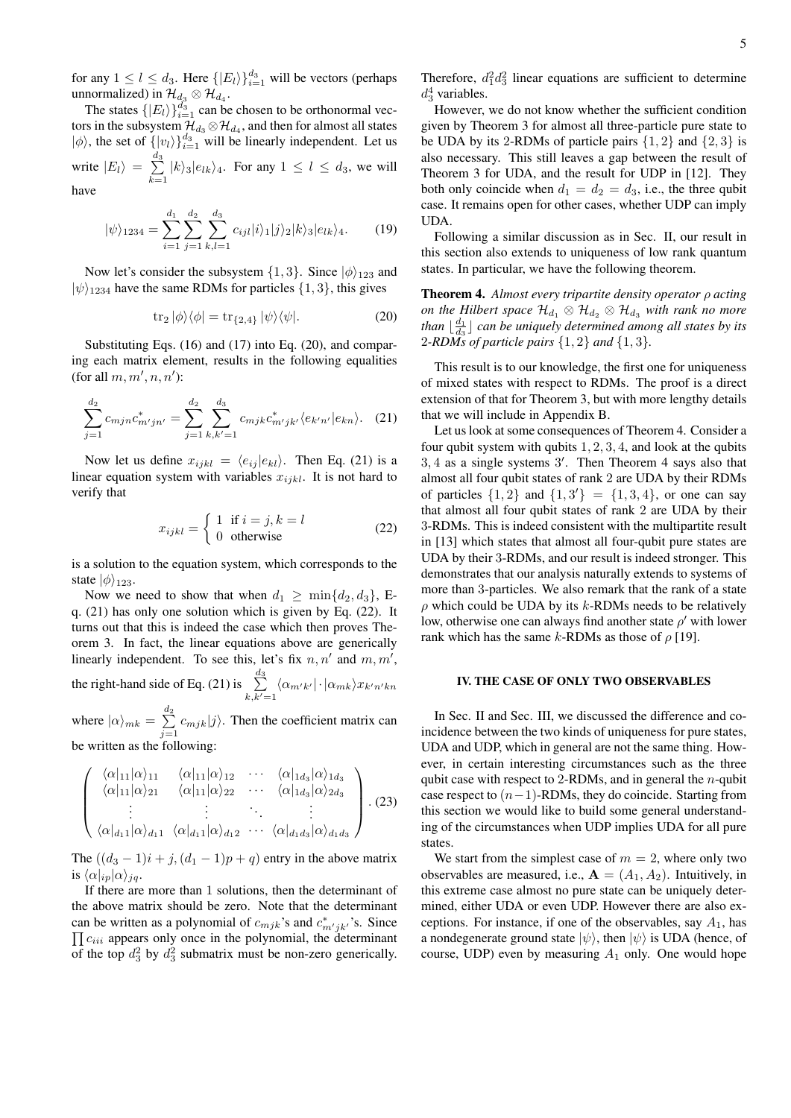for any  $1 \leq l \leq d_3$ . Here  $\{|E_l\rangle\}_{i=1}^{d_3}$  will be vectors (perhaps unnormalized) in  $\mathcal{H}_{d_3} \otimes \mathcal{H}_{d_4}$ .

The states  $\{|E_l\rangle\}_{i=1}^{d_3}$  can be chosen to be orthonormal vectors in the subsystem  $\mathcal{H}_{d_3}\otimes\mathcal{H}_{d_4}$ , and then for almost all states  $|\phi\rangle$ , the set of  $\{|v_l\rangle\}_{i=1}^{d_3}$  will be linearly independent. Let us write  $|E_l\rangle = \sum_{l=1}^{d_3}$  $\sum_{k=1} |k\rangle_3|e_{lk}\rangle_4$ . For any  $1 \leq l \leq d_3$ , we will have

$$
|\psi\rangle_{1234} = \sum_{i=1}^{d_1} \sum_{j=1}^{d_2} \sum_{k,l=1}^{d_3} c_{ijl} |i\rangle_1 |j\rangle_2 |k\rangle_3 |e_{lk}\rangle_4.
$$
 (19)

Now let's consider the subsystem  $\{1,3\}$ . Since  $|\phi\rangle_{123}$  and  $|\psi\rangle_{1234}$  have the same RDMs for particles  $\{1,3\}$ , this gives

$$
\operatorname{tr}_2|\phi\rangle\langle\phi| = \operatorname{tr}_{\{2,4\}}|\psi\rangle\langle\psi|.\tag{20}
$$

Substituting Eqs. (16) and (17) into Eq. (20), and comparing each matrix element, results in the following equalities (for all  $m, m', n, n'$ ):

$$
\sum_{j=1}^{d_2} c_{mjn} c_{m'jn'}^* = \sum_{j=1}^{d_2} \sum_{k,k'=1}^{d_3} c_{mjk} c_{m'jk'}^* \langle e_{k'n'} | e_{kn} \rangle.
$$
 (21)

Now let us define  $x_{ijkl} = \langle e_{ij} | e_{kl} \rangle$ . Then Eq. (21) is a linear equation system with variables  $x_{ijkl}$ . It is not hard to verify that

$$
x_{ijkl} = \begin{cases} 1 & \text{if } i = j, k = l \\ 0 & \text{otherwise} \end{cases}
$$
 (22)

is a solution to the equation system, which corresponds to the state  $|\phi\rangle_{123}$ .

Now we need to show that when  $d_1 \geq \min\{d_2, d_3\}$ , Eq. (21) has only one solution which is given by Eq. (22). It turns out that this is indeed the case which then proves Theorem 3. In fact, the linear equations above are generically linearly independent. To see this, let's fix  $n, n'$  and  $m, m'$ , the right-hand side of Eq. (21) is  $\sum_{n=1}^{d_3}$  $\sum\limits_{k,k'=1}\langle\alpha_{m'k'}|\cdot|\alpha_{mk}\rangle x_{k'n'kn}$ 

where  $|\alpha\rangle_{mk} = \sum_{k=1}^{d_2}$  $\sum_{j=1} c_{mjk} |j\rangle$ . Then the coefficient matrix can be written as the following:

$$
\begin{pmatrix}\n\langle \alpha|_{11} | \alpha \rangle_{11} & \langle \alpha|_{11} | \alpha \rangle_{12} & \cdots & \langle \alpha|_{1d_3} | \alpha \rangle_{1d_3} \\
\langle \alpha|_{11} | \alpha \rangle_{21} & \langle \alpha|_{11} | \alpha \rangle_{22} & \cdots & \langle \alpha|_{1d_3} | \alpha \rangle_{2d_3} \\
\vdots & \vdots & \ddots & \vdots \\
\langle \alpha|_{d_1 1} | \alpha \rangle_{d_1 1} & \langle \alpha|_{d_1 1} | \alpha \rangle_{d_1 2} & \cdots & \langle \alpha|_{d_1 d_3} | \alpha \rangle_{d_1 d_3}\n\end{pmatrix}.
$$
(23)

The  $((d_3 - 1)i + j, (d_1 - 1)p + q)$  entry in the above matrix is  $\langle \alpha |_{ip} | \alpha \rangle_{jq}$ .

If there are more than 1 solutions, then the determinant of the above matrix should be zero. Note that the determinant can be written as a polynomial of  $c_{mjk}$ 's and  $c_{m'jk}^*$ 's. Since can be written as a porynomial of  $c_{mjk}$  s and  $c_{m'jk'}$  s. Since  $\prod c_{iii}$  appears only once in the polynomial, the determinant of the top  $d_3^2$  by  $d_3^2$  submatrix must be non-zero generically.

Therefore,  $d_1^2 d_3^2$  linear equations are sufficient to determine  $d_3^4$  variables.

However, we do not know whether the sufficient condition given by Theorem 3 for almost all three-particle pure state to be UDA by its 2-RDMs of particle pairs  $\{1, 2\}$  and  $\{2, 3\}$  is also necessary. This still leaves a gap between the result of Theorem 3 for UDA, and the result for UDP in [12]. They both only coincide when  $d_1 = d_2 = d_3$ , i.e., the three qubit case. It remains open for other cases, whether UDP can imply UDA.

Following a similar discussion as in Sec. II, our result in this section also extends to uniqueness of low rank quantum states. In particular, we have the following theorem.

Theorem 4. *Almost every tripartite density operator* ρ *acting on the Hilbert space*  $\mathcal{H}_{d_1} \otimes \mathcal{H}_{d_2} \otimes \mathcal{H}_{d_3}$  *with rank no more than*  $\lfloor \frac{d_1}{d_3} \rfloor$  *can be uniquely determined among all states by its* 2*-RDMs of particle pairs* {1, 2} *and* {1, 3}*.*

This result is to our knowledge, the first one for uniqueness of mixed states with respect to RDMs. The proof is a direct extension of that for Theorem 3, but with more lengthy details that we will include in Appendix B.

Let us look at some consequences of Theorem 4. Consider a four qubit system with qubits 1, 2, 3, 4, and look at the qubits 3, 4 as a single systems 3 0 . Then Theorem 4 says also that almost all four qubit states of rank 2 are UDA by their RDMs of particles  $\{1, 2\}$  and  $\{1, 3'\} = \{1, 3, 4\}$ , or one can say that almost all four qubit states of rank 2 are UDA by their 3-RDMs. This is indeed consistent with the multipartite result in [13] which states that almost all four-qubit pure states are UDA by their 3-RDMs, and our result is indeed stronger. This demonstrates that our analysis naturally extends to systems of more than 3-particles. We also remark that the rank of a state  $\rho$  which could be UDA by its k-RDMs needs to be relatively low, otherwise one can always find another state  $\rho'$  with lower rank which has the same k-RDMs as those of  $\rho$  [19].

### IV. THE CASE OF ONLY TWO OBSERVABLES

In Sec. II and Sec. III, we discussed the difference and coincidence between the two kinds of uniqueness for pure states, UDA and UDP, which in general are not the same thing. However, in certain interesting circumstances such as the three qubit case with respect to 2-RDMs, and in general the  $n$ -qubit case respect to  $(n-1)$ -RDMs, they do coincide. Starting from this section we would like to build some general understanding of the circumstances when UDP implies UDA for all pure states.

We start from the simplest case of  $m = 2$ , where only two observables are measured, i.e.,  $\mathbf{A} = (A_1, A_2)$ . Intuitively, in this extreme case almost no pure state can be uniquely determined, either UDA or even UDP. However there are also exceptions. For instance, if one of the observables, say  $A_1$ , has a nondegenerate ground state  $|\psi\rangle$ , then  $|\psi\rangle$  is UDA (hence, of course, UDP) even by measuring  $A_1$  only. One would hope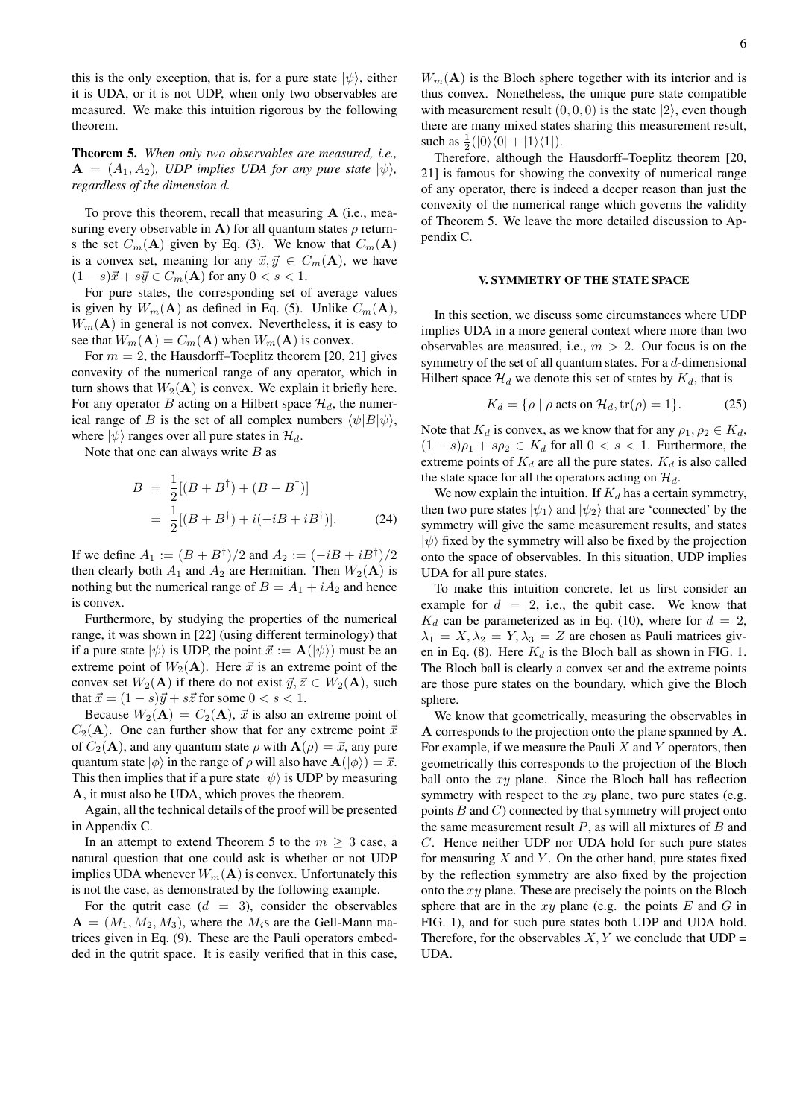this is the only exception, that is, for a pure state  $|\psi\rangle$ , either it is UDA, or it is not UDP, when only two observables are measured. We make this intuition rigorous by the following theorem.

Theorem 5. *When only two observables are measured, i.e.,*  $\mathbf{A} = (A_1, A_2)$ , UDP implies UDA for any pure state  $|\psi\rangle$ , *regardless of the dimension* d*.*

To prove this theorem, recall that measuring A (i.e., measuring every observable in A) for all quantum states  $\rho$  returns the set  $C_m(A)$  given by Eq. (3). We know that  $C_m(A)$ is a convex set, meaning for any  $\vec{x}, \vec{y} \in C_m(A)$ , we have  $(1 - s)\vec{x} + s\vec{y} \in C_m$  (**A**) for any  $0 < s < 1$ .

For pure states, the corresponding set of average values is given by  $W_m(A)$  as defined in Eq. (5). Unlike  $C_m(A)$ ,  $W_m(A)$  in general is not convex. Nevertheless, it is easy to see that  $W_m(A) = C_m(A)$  when  $W_m(A)$  is convex.

For  $m = 2$ , the Hausdorff–Toeplitz theorem [20, 21] gives convexity of the numerical range of any operator, which in turn shows that  $W_2(A)$  is convex. We explain it briefly here. For any operator B acting on a Hilbert space  $\mathcal{H}_d$ , the numerical range of B is the set of all complex numbers  $\langle \psi|B|\psi\rangle$ , where  $|\psi\rangle$  ranges over all pure states in  $\mathcal{H}_d$ .

Note that one can always write  $B$  as

$$
B = \frac{1}{2}[(B + B^{\dagger}) + (B - B^{\dagger})]
$$
  
= 
$$
\frac{1}{2}[(B + B^{\dagger}) + i(-iB + iB^{\dagger})].
$$
 (24)

If we define  $A_1 := (B + B^{\dagger})/2$  and  $A_2 := (-iB + iB^{\dagger})/2$ then clearly both  $A_1$  and  $A_2$  are Hermitian. Then  $W_2(A)$  is nothing but the numerical range of  $B = A_1 + iA_2$  and hence is convex.

Furthermore, by studying the properties of the numerical range, it was shown in [22] (using different terminology) that if a pure state  $|\psi\rangle$  is UDP, the point  $\vec{x} := \mathbf{A}(|\psi\rangle)$  must be an extreme point of  $W_2(A)$ . Here  $\vec{x}$  is an extreme point of the convex set  $W_2(A)$  if there do not exist  $\vec{y}, \vec{z} \in W_2(A)$ , such that  $\vec{x} = (1 - s)\vec{y} + s\vec{z}$  for some  $0 < s < 1$ .

Because  $W_2(A) = C_2(A), \vec{x}$  is also an extreme point of  $C_2(A)$ . One can further show that for any extreme point  $\vec{x}$ of  $C_2(A)$ , and any quantum state  $\rho$  with  $A(\rho) = \vec{x}$ , any pure quantum state  $|\phi\rangle$  in the range of  $\rho$  will also have  $\mathbf{A}(|\phi\rangle) = \vec{x}$ . This then implies that if a pure state  $|\psi\rangle$  is UDP by measuring A, it must also be UDA, which proves the theorem.

Again, all the technical details of the proof will be presented in Appendix C.

In an attempt to extend Theorem 5 to the  $m \geq 3$  case, a natural question that one could ask is whether or not UDP implies UDA whenever  $W_m(A)$  is convex. Unfortunately this is not the case, as demonstrated by the following example.

For the qutrit case  $(d = 3)$ , consider the observables  $A = (M_1, M_2, M_3)$ , where the  $M_i$ s are the Gell-Mann matrices given in Eq. (9). These are the Pauli operators embedded in the qutrit space. It is easily verified that in this case,

 $W_m(A)$  is the Bloch sphere together with its interior and is thus convex. Nonetheless, the unique pure state compatible with measurement result  $(0, 0, 0)$  is the state  $|2\rangle$ , even though there are many mixed states sharing this measurement result, such as  $\frac{1}{2}(|0\rangle\langle0| + |1\rangle\langle1|)$ .

Therefore, although the Hausdorff–Toeplitz theorem [20, 21] is famous for showing the convexity of numerical range of any operator, there is indeed a deeper reason than just the convexity of the numerical range which governs the validity of Theorem 5. We leave the more detailed discussion to Appendix C.

### V. SYMMETRY OF THE STATE SPACE

In this section, we discuss some circumstances where UDP implies UDA in a more general context where more than two observables are measured, i.e.,  $m > 2$ . Our focus is on the symmetry of the set of all quantum states. For a  $d$ -dimensional Hilbert space  $\mathcal{H}_d$  we denote this set of states by  $K_d$ , that is

$$
K_d = \{ \rho \mid \rho \text{ acts on } \mathcal{H}_d, \text{tr}(\rho) = 1 \}. \tag{25}
$$

Note that  $K_d$  is convex, as we know that for any  $\rho_1, \rho_2 \in K_d$ ,  $(1 - s)\rho_1 + s\rho_2 \in K_d$  for all  $0 < s < 1$ . Furthermore, the extreme points of  $K_d$  are all the pure states.  $K_d$  is also called the state space for all the operators acting on  $\mathcal{H}_d$ .

We now explain the intuition. If  $K_d$  has a certain symmetry, then two pure states  $|\psi_1\rangle$  and  $|\psi_2\rangle$  that are 'connected' by the symmetry will give the same measurement results, and states  $|\psi\rangle$  fixed by the symmetry will also be fixed by the projection onto the space of observables. In this situation, UDP implies UDA for all pure states.

To make this intuition concrete, let us first consider an example for  $d = 2$ , i.e., the qubit case. We know that  $K_d$  can be parameterized as in Eq. (10), where for  $d = 2$ ,  $\lambda_1 = X, \lambda_2 = Y, \lambda_3 = Z$  are chosen as Pauli matrices given in Eq. (8). Here  $K_d$  is the Bloch ball as shown in FIG. 1. The Bloch ball is clearly a convex set and the extreme points are those pure states on the boundary, which give the Bloch sphere.

We know that geometrically, measuring the observables in A corresponds to the projection onto the plane spanned by A. For example, if we measure the Pauli  $X$  and  $Y$  operators, then geometrically this corresponds to the projection of the Bloch ball onto the  $xy$  plane. Since the Bloch ball has reflection symmetry with respect to the  $xy$  plane, two pure states (e.g. points  $B$  and  $C$ ) connected by that symmetry will project onto the same measurement result  $P$ , as will all mixtures of  $B$  and C. Hence neither UDP nor UDA hold for such pure states for measuring  $X$  and  $Y$ . On the other hand, pure states fixed by the reflection symmetry are also fixed by the projection onto the  $xy$  plane. These are precisely the points on the Bloch sphere that are in the  $xy$  plane (e.g. the points  $E$  and  $G$  in FIG. 1), and for such pure states both UDP and UDA hold. Therefore, for the observables  $X, Y$  we conclude that  $\text{UDP} =$ UDA.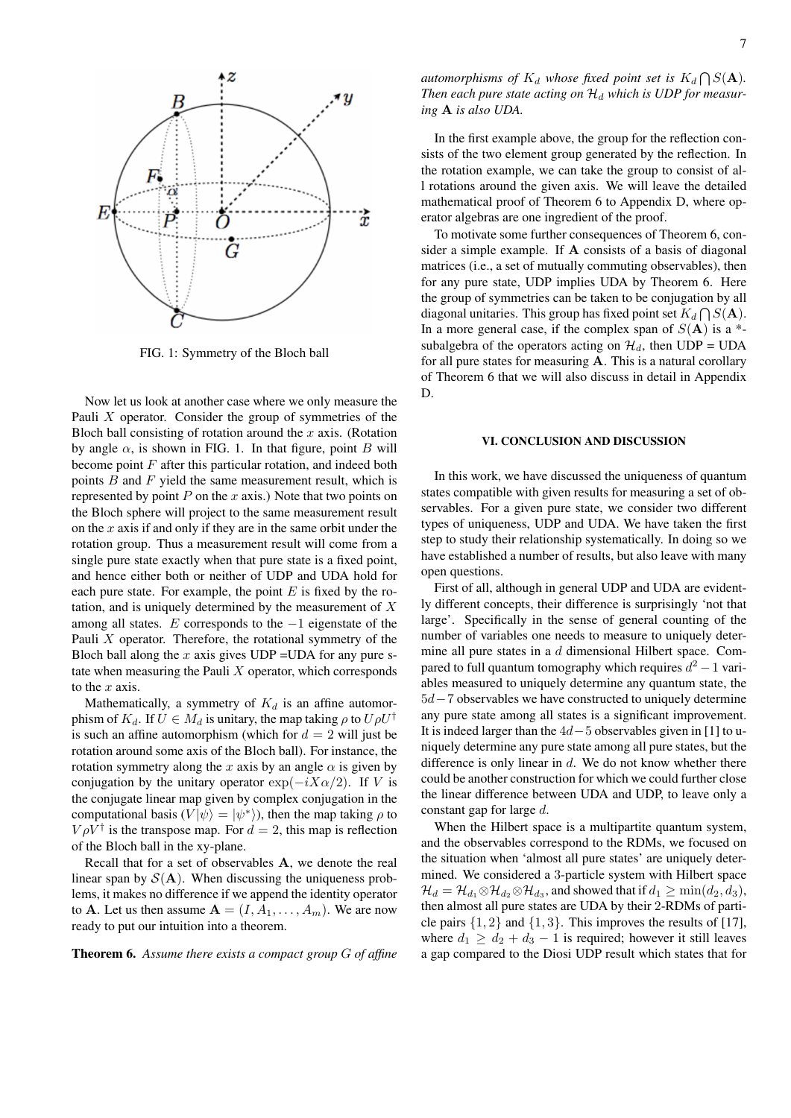

FIG. 1: Symmetry of the Bloch ball

Now let us look at another case where we only measure the Pauli  $X$  operator. Consider the group of symmetries of the Bloch ball consisting of rotation around the  $x$  axis. (Rotation by angle  $\alpha$ , is shown in FIG. 1. In that figure, point B will become point  $F$  after this particular rotation, and indeed both points  $B$  and  $F$  yield the same measurement result, which is represented by point  $P$  on the  $x$  axis.) Note that two points on the Bloch sphere will project to the same measurement result on the  $x$  axis if and only if they are in the same orbit under the rotation group. Thus a measurement result will come from a single pure state exactly when that pure state is a fixed point, and hence either both or neither of UDP and UDA hold for each pure state. For example, the point  $E$  is fixed by the rotation, and is uniquely determined by the measurement of  $X$ among all states. E corresponds to the  $-1$  eigenstate of the Pauli  $X$  operator. Therefore, the rotational symmetry of the Bloch ball along the x axis gives  $\text{UDP} = \text{UDA}$  for any pure state when measuring the Pauli  $X$  operator, which corresponds to the  $x$  axis.

Mathematically, a symmetry of  $K_d$  is an affine automorphism of  $K_d$ . If  $U \in M_d$  is unitary, the map taking  $\rho$  to  $U \rho U^{\dagger}$ is such an affine automorphism (which for  $d = 2$  will just be rotation around some axis of the Bloch ball). For instance, the rotation symmetry along the x axis by an angle  $\alpha$  is given by conjugation by the unitary operator  $\exp(-iX\alpha/2)$ . If V is the conjugate linear map given by complex conjugation in the computational basis  $(V|\psi\rangle = |\psi^*\rangle)$ , then the map taking  $\rho$  to  $V \rho V^{\dagger}$  is the transpose map. For  $d = 2$ , this map is reflection of the Bloch ball in the xy-plane.

Recall that for a set of observables A, we denote the real linear span by  $S(A)$ . When discussing the uniqueness problems, it makes no difference if we append the identity operator to **A**. Let us then assume  $A = (I, A_1, \ldots, A_m)$ . We are now ready to put our intuition into a theorem.

Theorem 6. *Assume there exists a compact group* G *of affine*

*automorphisms of*  $K_d$  *whose fixed point set is*  $K_d \bigcap S(\mathbf{A})$ *.* Then each pure state acting on  $\mathcal{H}_d$  which is UDP for measur*ing* A *is also UDA.*

In the first example above, the group for the reflection consists of the two element group generated by the reflection. In the rotation example, we can take the group to consist of all rotations around the given axis. We will leave the detailed mathematical proof of Theorem 6 to Appendix D, where operator algebras are one ingredient of the proof.

To motivate some further consequences of Theorem 6, consider a simple example. If A consists of a basis of diagonal matrices (i.e., a set of mutually commuting observables), then for any pure state, UDP implies UDA by Theorem 6. Here the group of symmetries can be taken to be conjugation by all diagonal unitaries. This group has fixed point set  $K_d \bigcap S(\mathbf{A})$ . In a more general case, if the complex span of  $S(A)$  is a  $*$ subalgebra of the operators acting on  $\mathcal{H}_d$ , then UDP = UDA for all pure states for measuring  $A$ . This is a natural corollary of Theorem 6 that we will also discuss in detail in Appendix D.

## VI. CONCLUSION AND DISCUSSION

In this work, we have discussed the uniqueness of quantum states compatible with given results for measuring a set of observables. For a given pure state, we consider two different types of uniqueness, UDP and UDA. We have taken the first step to study their relationship systematically. In doing so we have established a number of results, but also leave with many open questions.

First of all, although in general UDP and UDA are evidently different concepts, their difference is surprisingly 'not that large'. Specifically in the sense of general counting of the number of variables one needs to measure to uniquely determine all pure states in a d dimensional Hilbert space. Compared to full quantum tomography which requires  $d^2 - 1$  variables measured to uniquely determine any quantum state, the 5d−7 observables we have constructed to uniquely determine any pure state among all states is a significant improvement. It is indeed larger than the 4d−5 observables given in [1] to uniquely determine any pure state among all pure states, but the difference is only linear in  $d$ . We do not know whether there could be another construction for which we could further close the linear difference between UDA and UDP, to leave only a constant gap for large d.

When the Hilbert space is a multipartite quantum system, and the observables correspond to the RDMs, we focused on the situation when 'almost all pure states' are uniquely determined. We considered a 3-particle system with Hilbert space  $\mathcal{H}_d = \mathcal{H}_{d_1} \otimes \mathcal{H}_{d_2} \otimes \mathcal{H}_{d_3}$ , and showed that if  $d_1 \ge \min(d_2, d_3)$ , then almost all pure states are UDA by their 2-RDMs of particle pairs  $\{1, 2\}$  and  $\{1, 3\}$ . This improves the results of [17], where  $d_1 \geq d_2 + d_3 - 1$  is required; however it still leaves a gap compared to the Diosi UDP result which states that for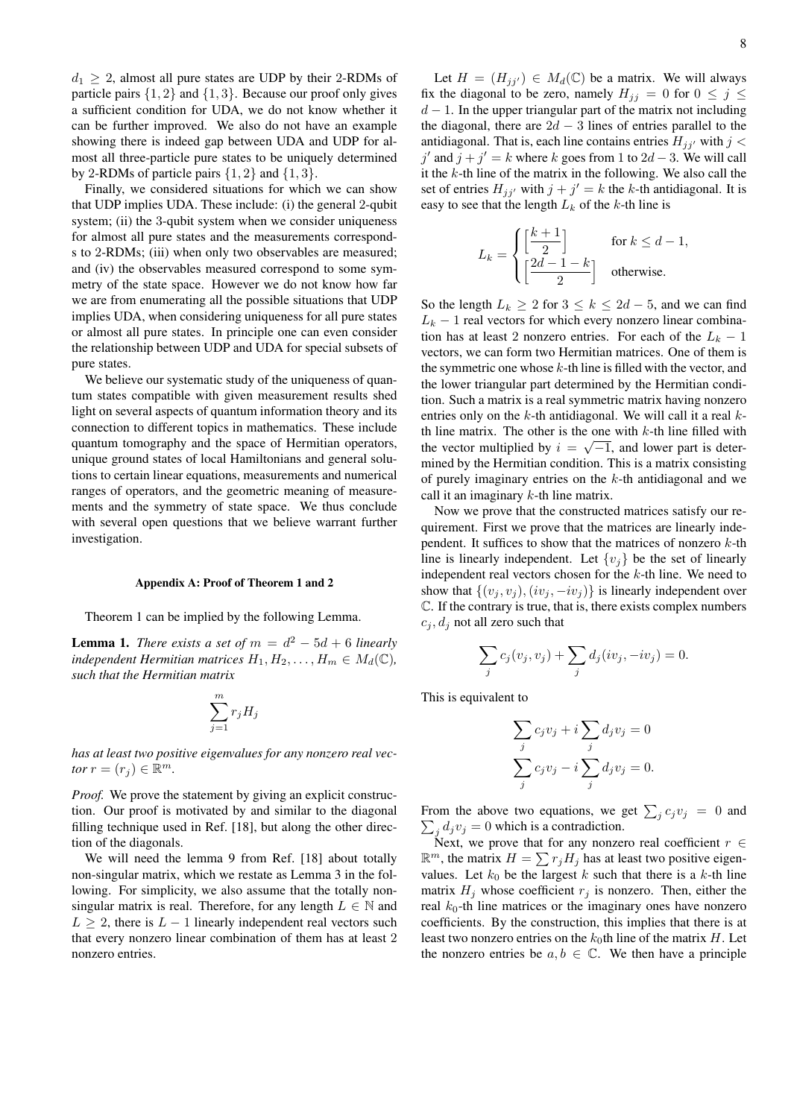$d_1 \geq 2$ , almost all pure states are UDP by their 2-RDMs of particle pairs  $\{1, 2\}$  and  $\{1, 3\}$ . Because our proof only gives a sufficient condition for UDA, we do not know whether it can be further improved. We also do not have an example showing there is indeed gap between UDA and UDP for almost all three-particle pure states to be uniquely determined by 2-RDMs of particle pairs  $\{1, 2\}$  and  $\{1, 3\}$ .

Finally, we considered situations for which we can show that UDP implies UDA. These include: (i) the general 2-qubit system; (ii) the 3-qubit system when we consider uniqueness for almost all pure states and the measurements corresponds to 2-RDMs; (iii) when only two observables are measured; and (iv) the observables measured correspond to some symmetry of the state space. However we do not know how far we are from enumerating all the possible situations that UDP implies UDA, when considering uniqueness for all pure states or almost all pure states. In principle one can even consider the relationship between UDP and UDA for special subsets of pure states.

We believe our systematic study of the uniqueness of quantum states compatible with given measurement results shed light on several aspects of quantum information theory and its connection to different topics in mathematics. These include quantum tomography and the space of Hermitian operators, unique ground states of local Hamiltonians and general solutions to certain linear equations, measurements and numerical ranges of operators, and the geometric meaning of measurements and the symmetry of state space. We thus conclude with several open questions that we believe warrant further investigation.

#### Appendix A: Proof of Theorem 1 and 2

Theorem 1 can be implied by the following Lemma.

**Lemma 1.** *There exists a set of*  $m = d^2 - 5d + 6$  *linearly independent Hermitian matrices*  $H_1, H_2, \ldots, H_m \in M_d(\mathbb{C})$ , *such that the Hermitian matrix*

$$
\sum_{j=1}^{m} r_j H_j
$$

*has at least two positive eigenvalues for any nonzero real vector*  $r = (r_j) \in \mathbb{R}^m$ .

*Proof.* We prove the statement by giving an explicit construction. Our proof is motivated by and similar to the diagonal filling technique used in Ref. [18], but along the other direction of the diagonals.

We will need the lemma 9 from Ref. [18] about totally non-singular matrix, which we restate as Lemma 3 in the following. For simplicity, we also assume that the totally nonsingular matrix is real. Therefore, for any length  $L \in \mathbb{N}$  and  $L \geq 2$ , there is  $L - 1$  linearly independent real vectors such that every nonzero linear combination of them has at least 2 nonzero entries.

Let  $H = (H_{jj'}) \in M_d(\mathbb{C})$  be a matrix. We will always fix the diagonal to be zero, namely  $H_{jj} = 0$  for  $0 \le j \le$  $d-1$ . In the upper triangular part of the matrix not including the diagonal, there are  $2d - 3$  lines of entries parallel to the antidiagonal. That is, each line contains entries  $H_{jj'}$  with  $j <$ j' and  $j + j' = k$  where k goes from 1 to 2d – 3. We will call it the  $k$ -th line of the matrix in the following. We also call the set of entries  $H_{jj'}$  with  $j + j' = k$  the k-th antidiagonal. It is easy to see that the length  $L_k$  of the k-th line is

$$
L_k = \begin{cases} \left[\frac{k+1}{2}\right] & \text{for } k \leq d-1, \\ \left[\frac{2d-1-k}{2}\right] & \text{otherwise.} \end{cases}
$$

So the length  $L_k \geq 2$  for  $3 \leq k \leq 2d - 5$ , and we can find  $L_k - 1$  real vectors for which every nonzero linear combination has at least 2 nonzero entries. For each of the  $L_k - 1$ vectors, we can form two Hermitian matrices. One of them is the symmetric one whose  $k$ -th line is filled with the vector, and the lower triangular part determined by the Hermitian condition. Such a matrix is a real symmetric matrix having nonzero entries only on the  $k$ -th antidiagonal. We will call it a real  $k$ th line matrix. The other is the one with  $k$ -th line filled with the vector multiplied by  $i = \sqrt{-1}$ , and lower part is determined by the Hermitian condition. This is a matrix consisting of purely imaginary entries on the  $k$ -th antidiagonal and we call it an imaginary  $k$ -th line matrix.

Now we prove that the constructed matrices satisfy our requirement. First we prove that the matrices are linearly independent. It suffices to show that the matrices of nonzero  $k$ -th line is linearly independent. Let  $\{v_j\}$  be the set of linearly independent real vectors chosen for the  $k$ -th line. We need to show that  $\{(v_i, v_j), (iv_i, -iv_j)\}\$ is linearly independent over C. If the contrary is true, that is, there exists complex numbers  $c_i, d_j$  not all zero such that

$$
\sum_{j} c_j(v_j, v_j) + \sum_{j} d_j(iv_j, -iv_j) = 0.
$$

This is equivalent to

$$
\sum_{j} c_j v_j + i \sum_{j} d_j v_j = 0
$$
  

$$
\sum_{j} c_j v_j - i \sum_{j} d_j v_j = 0.
$$

From the above two equations, we get  $\sum_j c_j v_j = 0$  and  $\sum_j d_j v_j = 0$  which is a contradiction.

Next, we prove that for any nonzero real coefficient  $r \in$  $\mathbb{R}^m$ , the matrix  $H = \sum r_j H_j$  has at least two positive eigenvalues. Let  $k_0$  be the largest k such that there is a k-th line matrix  $H_j$  whose coefficient  $r_j$  is nonzero. Then, either the real  $k_0$ -th line matrices or the imaginary ones have nonzero coefficients. By the construction, this implies that there is at least two nonzero entries on the  $k_0$ th line of the matrix H. Let the nonzero entries be  $a, b \in \mathbb{C}$ . We then have a principle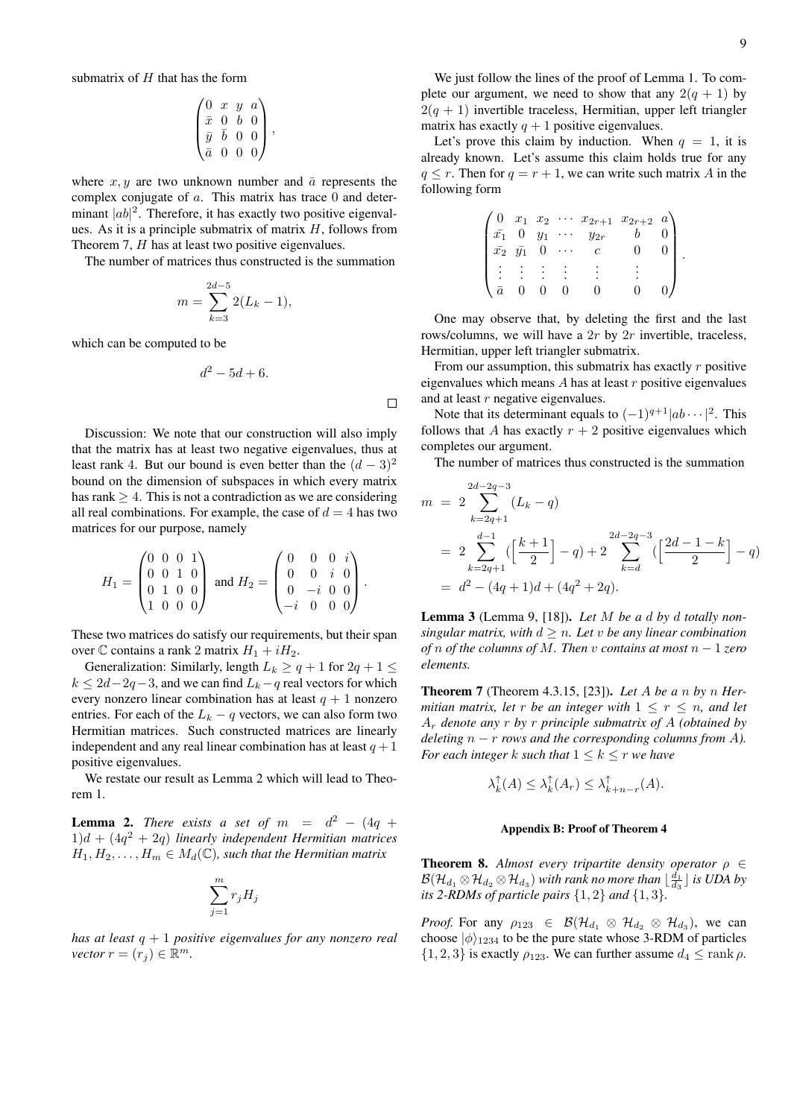submatrix of  $H$  that has the form

$$
\begin{pmatrix}\n0 & x & y & a \\
\bar{x} & 0 & b & 0 \\
\bar{y} & \bar{b} & 0 & 0 \\
\bar{a} & 0 & 0 & 0\n\end{pmatrix},
$$

where  $x, y$  are two unknown number and  $\bar{a}$  represents the complex conjugate of a. This matrix has trace 0 and determinant  $|ab|^2$ . Therefore, it has exactly two positive eigenvalues. As it is a principle submatrix of matrix  $H$ , follows from Theorem 7, H has at least two positive eigenvalues.

The number of matrices thus constructed is the summation

$$
m = \sum_{k=3}^{2d-5} 2(L_k - 1),
$$

which can be computed to be

$$
d^2 - 5d + 6.
$$

 $\Box$ 

Discussion: We note that our construction will also imply that the matrix has at least two negative eigenvalues, thus at least rank 4. But our bound is even better than the  $(d-3)^2$ bound on the dimension of subspaces in which every matrix has rank  $\geq 4$ . This is not a contradiction as we are considering all real combinations. For example, the case of  $d = 4$  has two matrices for our purpose, namely

$$
H_1 = \begin{pmatrix} 0 & 0 & 0 & 1 \\ 0 & 0 & 1 & 0 \\ 0 & 1 & 0 & 0 \\ 1 & 0 & 0 & 0 \end{pmatrix} \text{ and } H_2 = \begin{pmatrix} 0 & 0 & 0 & i \\ 0 & 0 & i & 0 \\ 0 & -i & 0 & 0 \\ -i & 0 & 0 & 0 \end{pmatrix}.
$$

These two matrices do satisfy our requirements, but their span over  $\mathbb C$  contains a rank 2 matrix  $H_1 + iH_2$ .

Generalization: Similarly, length  $L_k \ge q + 1$  for  $2q + 1 \le$  $k \le 2d-2q-3$ , and we can find  $L_k-q$  real vectors for which every nonzero linear combination has at least  $q + 1$  nonzero entries. For each of the  $L_k - q$  vectors, we can also form two Hermitian matrices. Such constructed matrices are linearly independent and any real linear combination has at least  $q + 1$ positive eigenvalues.

We restate our result as Lemma 2 which will lead to Theorem 1.

**Lemma 2.** *There exists a set of*  $m = d^2 - (4q +$ 1)d + (4q <sup>2</sup> + 2q) *linearly independent Hermitian matrices*  $H_1, H_2, \ldots, H_m \in M_d(\mathbb{C})$ , such that the Hermitian matrix

$$
\sum_{j=1}^m r_j H_j
$$

*has at least* q + 1 *positive eigenvalues for any nonzero real vector*  $r = (r_j) \in \mathbb{R}^m$ .

We just follow the lines of the proof of Lemma 1. To complete our argument, we need to show that any  $2(q + 1)$  by  $2(q + 1)$  invertible traceless, Hermitian, upper left triangler matrix has exactly  $q + 1$  positive eigenvalues.

Let's prove this claim by induction. When  $q = 1$ , it is already known. Let's assume this claim holds true for any  $q \leq r$ . Then for  $q = r + 1$ , we can write such matrix A in the following form

| $\cdot$ 0   | $x_1$ $x_2$ |       | $\cdots$ $x_{2r+1}$ $x_{2r+2}$ | $a^{\scriptscriptstyle \prime}$ |  |
|-------------|-------------|-------|--------------------------------|---------------------------------|--|
| $\bar{x_1}$ |             | $y_1$ | $y_{2r}$                       |                                 |  |
| $\bar{x_2}$ | $\bar{y_1}$ |       |                                |                                 |  |
|             |             |       |                                |                                 |  |
|             |             |       |                                |                                 |  |
|             |             |       |                                |                                 |  |

One may observe that, by deleting the first and the last rows/columns, we will have a  $2r$  by  $2r$  invertible, traceless, Hermitian, upper left triangler submatrix.

From our assumption, this submatrix has exactly  $r$  positive eigenvalues which means  $A$  has at least  $r$  positive eigenvalues and at least r negative eigenvalues.

Note that its determinant equals to  $(-1)^{q+1}|ab\cdots|^2$ . This follows that A has exactly  $r + 2$  positive eigenvalues which completes our argument.

The number of matrices thus constructed is the summation

$$
m = 2 \sum_{k=2q+1}^{2d-2q-3} (L_k - q)
$$
  
= 
$$
2 \sum_{k=2q+1}^{d-1} (\left[\frac{k+1}{2}\right] - q) + 2 \sum_{k=d}^{2d-2q-3} (\left[\frac{2d-1-k}{2}\right] - q)
$$
  
= 
$$
d^2 - (4q+1)d + (4q^2 + 2q).
$$

Lemma 3 (Lemma 9, [18]). *Let* M *be a* d *by* d *totally nonsingular matrix, with*  $d > n$ *. Let v be any linear combination of* n *of the columns of* M*. Then* v *contains at most* n − 1 *zero elements.*

Theorem 7 (Theorem 4.3.15, [23]). *Let* A *be a* n *by* n *Hermitian matrix, let*  $r$  *be an integer with*  $1 \leq r \leq n$ *, and let* A<sup>r</sup> *denote any* r *by* r *principle submatrix of* A *(obtained by deleting*  $n - r$  *rows and the corresponding columns from A*). *For each integer* k *such that*  $1 \leq k \leq r$  *we have* 

$$
\lambda_k^{\uparrow}(A) \leq \lambda_k^{\uparrow}(A_r) \leq \lambda_{k+n-r}^{\uparrow}(A).
$$

### Appendix B: Proof of Theorem 4

**Theorem 8.** *Almost every tripartite density operator*  $\rho \in$  $\mathcal{B}(\mathcal{H}_{d_1}\otimes \mathcal{H}_{d_2}\otimes \mathcal{H}_{d_3})$  *with rank no more than*  $\lfloor\frac{d_1}{d_3}\rfloor$  *is UDA by its 2-RDMs of particle pairs*  $\{1, 2\}$  *and*  $\{1, 3\}$ *.* 

*Proof.* For any  $\rho_{123} \in \mathcal{B}(\mathcal{H}_{d_1} \otimes \mathcal{H}_{d_2} \otimes \mathcal{H}_{d_3})$ , we can choose  $|\phi\rangle_{1234}$  to be the pure state whose 3-RDM of particles  $\{1, 2, 3\}$  is exactly  $\rho_{123}$ . We can further assume  $d_4 \leq \text{rank } \rho$ .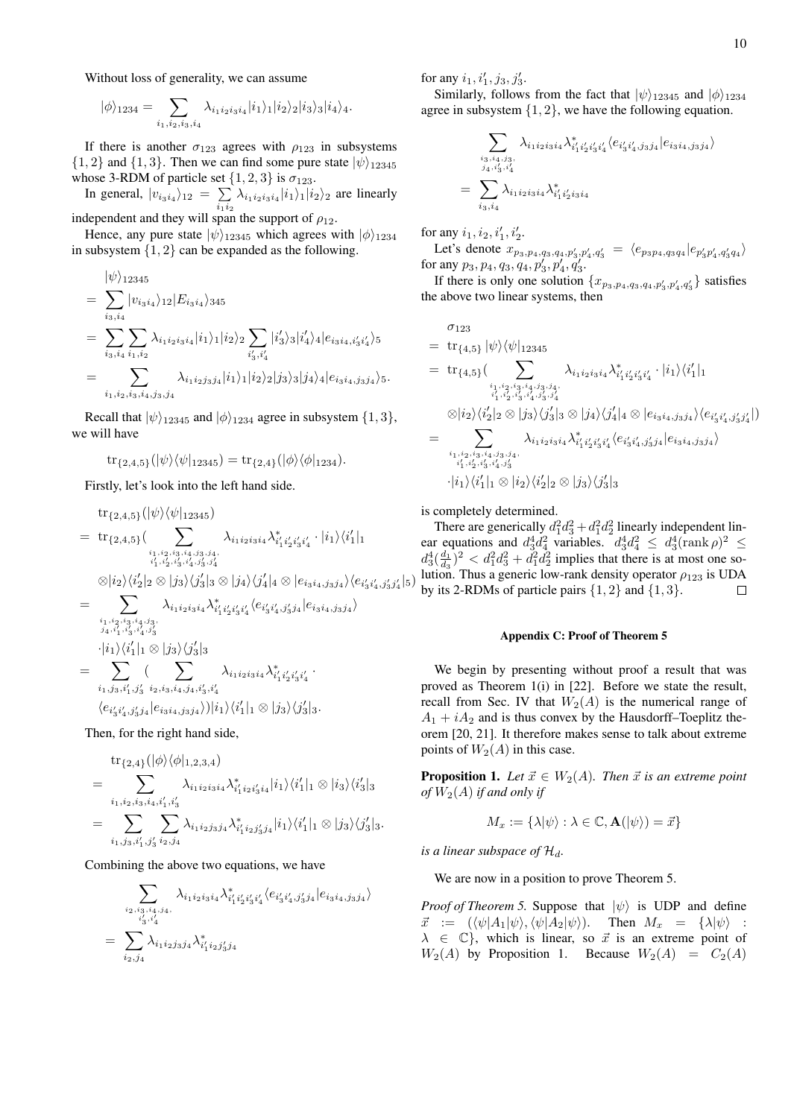Without loss of generality, we can assume

$$
|\phi\rangle_{1234}=\sum_{i_1,i_2,i_3,i_4}\lambda_{i_1i_2i_3i_4}|i_1\rangle_1|i_2\rangle_2|i_3\rangle_3|i_4\rangle_4.
$$

If there is another  $\sigma_{123}$  agrees with  $\rho_{123}$  in subsystems  $\{1, 2\}$  and  $\{1, 3\}$ . Then we can find some pure state  $|\psi\rangle_{12345}$ whose 3-RDM of particle set  $\{1, 2, 3\}$  is  $\sigma_{123}$ .

In general,  $|v_{i_3i_4}\rangle_{12} = \sum$  $\sum_{i_1 i_2} \lambda_{i_1 i_2 i_3 i_4} |i_1\rangle_1 |i_2\rangle_2$  are linearly

independent and they will span the support of  $\rho_{12}$ .

Hence, any pure state  $|\psi\rangle_{12345}$  which agrees with  $|\phi\rangle_{1234}$ in subsystem  $\{1, 2\}$  can be expanded as the following.

$$
\begin{split}\n&= \sum_{i_3,i_4} |\dot{v}_{i_3i_4}\rangle_{12} |E_{i_3i_4}\rangle_{345} \\
&= \sum_{i_3,i_4} \sum_{i_1,i_2} \lambda_{i_1i_2i_3i_4} |i_1\rangle_1 |i_2\rangle_2 \sum_{i'_3,i'_4} |i'_3\rangle_3 |i'_4\rangle_4 |e_{i_3i_4,i'_3i'_4}\rangle_5 \\
&= \sum_{i_1,i_2,i_3,i_4,j_3,j_4} \lambda_{i_1i_2j_3j_4} |i_1\rangle_1 |i_2\rangle_2 |j_3\rangle_3 |j_4\rangle_4 |e_{i_3i_4,j_3j_4}\rangle_5.\n\end{split}
$$

Recall that  $|\psi\rangle_{12345}$  and  $|\phi\rangle_{1234}$  agree in subsystem  $\{1,3\},\$ we will have

 $\text{tr}_{\{2,4,5\}}(|\psi\rangle\langle\psi|_{12345}) = \text{tr}_{\{2,4\}}(|\phi\rangle\langle\phi|_{1234}).$ 

Firstly, let's look into the left hand side.

$$
\begin{split} &\text{tr}_{\{2,4,5\}} (|\psi\rangle\langle\psi|_{12345}) \\ & = \text{tr}_{\{2,4,5\}} (\sum_{i_1,i_2,i_3,i_4,j_3,j_4, \atop i'_1,i'_2,i'_3,i'_4,i'_3,j'_3,j'_4} \lambda_{i'_1i'_2i'_3i'_4}^* \cdot |i_1\rangle\langle i'_1|_1 \\ & \otimes |i_2\rangle\langle i'_2|_2 \otimes |j_3\rangle\langle j'_3|_3 \otimes |j_4\rangle\langle j'_4|_4 \otimes |e_{i_3i_4,j_3j_4}\rangle\langle e_{i'_3i'_4,j'_3j'_4}|_5) \\ & = \sum_{i_1,i_2,i_3,i_4,j_3, \atop j_4,i'_1,i'_3,i'_4,j'_3} \lambda_{i'_1i'_2i'_3i'_4}^* \langle e_{i'_3i'_4,j'_3j_4}|e_{i_3i_4,j_3j_4}\rangle \end{split}
$$

$$
= \sum_{i_1,j_3,i'_1,j'_3} \frac{\langle i_1 \rangle \langle i'_1 \rangle_1 \otimes |j_3 \rangle \langle j'_3 \rangle_3}{\langle \sum_{i_1,j_3,i'_1,j'_3} \sum_{i_2,i_3,i_4,j_4,i'_3,i'_4} \lambda_{i_1 i_2 i_3 i_4} \lambda_{i'_1 i'_2 i'_3 i'_4}^*}
$$
  

$$
\langle e_{i'_3 i'_4,j'_3 j_4} | e_{i_3 i_4,j_3 j_4} \rangle ||i_1 \rangle \langle i'_1 ||_1 \otimes |j_3 \rangle \langle j'_3 ||_3.
$$

Then, for the right hand side,

$$
\begin{split} & \text{tr}_{\{2,4\}}(|\phi\rangle\langle\phi|_{1,2,3,4}) \\ &= \sum_{i_1,i_2,i_3,i_4,i'_1,i'_3} \lambda_{i_1i_2i_3i_4} \lambda_{i'_1i_2i'_3i_4}^*|i_1\rangle\langle i'_1|_1 \otimes |i_3\rangle\langle i'_3|_3 \\ &= \sum_{i_1,j_3,i'_1,j'_3} \sum_{i_2,j_4} \lambda_{i_1i_2j_3j_4} \lambda_{i'_1i_2j'_3j_4}^*|i_1\rangle\langle i'_1|_1 \otimes |j_3\rangle\langle j'_3|_3. \end{split}
$$

Combining the above two equations, we have

$$
\sum_{\substack{i_2, i_3, i_4, j_4, \ldots \\ i'_3, i'_4}} \lambda_{i_1 i_2 i_3 i_4} \lambda_{i'_1 i'_2 i'_3 i'_4}^* \langle e_{i'_3 i'_4, j'_3 j_4} | e_{i_3 i_4, j_3 j_4} \rangle
$$
  
= 
$$
\sum_{i_2, j_4} \lambda_{i_1 i_2 j_3 j_4} \lambda_{i'_1 i_2 j'_3 j_4}^*
$$

for any  $i_1, i'_1, j_3, j'_3$ .

Similarly, follows from the fact that  $|\psi\rangle_{12345}$  and  $|\phi\rangle_{1234}$ agree in subsystem  $\{1, 2\}$ , we have the following equation.

$$
\sum_{\substack{i_3,i_4,j_3,\\j_4,i'_3,i'_4}} \lambda_{i_1i_2i_3i_4} \lambda_{i'_1i'_2i'_3i'_4}^* \langle e_{i'_3i'_4,j_3j_4}|e_{i_3i_4,j_3j_4}\rangle
$$
  
= 
$$
\sum_{i_3,i_4} \lambda_{i_1i_2i_3i_4} \lambda_{i'_1i'_2i_3i_4}^*
$$

for any  $i_1, i_2, i'_1, i'_2$ .

Let's denote  $x_{p_3,p_4,q_3,q_4,p'_3,p'_4,q'_3} = \langle e_{p_3p_4,q_3q_4}|e_{p'_3p'_4,q'_3q_4}\rangle$ for any  $p_3, p_4, q_3, q_4, p'_3, p'_4, q'_3$ .

If there is only one solution  $\{x_{p_3,p_4,q_3,q_4,p'_3,p'_4,q'_3}\}$  satisfies the above two linear systems, then

$$
\sigma_{123} = \operatorname{tr}_{\{4,5\}} |\psi\rangle\langle\psi|_{12345}
$$
\n
$$
= \operatorname{tr}_{\{4,5\}}\left(\sum_{i_1, i_2, i_3, i_4, j_3, j_4, j_4, i_5', j_4'} \lambda_{i_1 i_2 i_3 i_4}^{*} \lambda_{i_1 i_2 i_3 i_4}^{*} \lambda_{i_1 i_2 i_3 i_4'}^{*} \cdot |i_1\rangle\langle i_1'|_1\right)
$$
\n
$$
\otimes |i_2\rangle\langle i_2'|_2 \otimes |j_3\rangle\langle j_3'|_3 \otimes |j_4\rangle\langle j_4'|_4 \otimes |e_{i_3 i_4, j_3 j_4}\rangle\langle e_{i_3 i_4', j_3' j_4'}|)
$$
\n
$$
= \sum_{i_1, i_2, i_3, i_4, j_3, j_4, j_5'} \lambda_{i_1 i_2 i_3 i_4} \lambda_{i_1 i_2 i_3 i_4}^{*} \lambda_{i_1 i_2 i_3 i_4'}^{*} \langle e_{i_3 i_4', j_3' j_4} | e_{i_3 i_4, j_3 j_4}\rangle
$$
\n
$$
\cdot |i_1\rangle\langle i_1'|_1 \otimes |i_2\rangle\langle i_2'|_2 \otimes |j_3\rangle\langle j_3'|_3
$$

is completely determined.

There are generically  $d_1^2 d_3^2 + d_1^2 d_2^2$  linearly independent linear equations and  $d_3^4 d_4^2$  variables.  $d_3^4 d_4^2 \leq d_3^4 (\text{rank }\rho)^2 \leq$  $d_3^4(\frac{d_1}{d_3})^2 < d_1^2 d_3^2 + d_1^2 d_2^2$  implies that there is at most one so- $\frac{a_3}{\sqrt{d_3}}$   $\vee$   $\frac{a_1 a_3 + a_1 a_2}{a_1 a_2}$  implies that there is at most one so-<br>lution. Thus a generic low-rank density operator  $\rho_{123}$  is UDA by its 2-RDMs of particle pairs  $\{1, 2\}$  and  $\{1, 3\}$ .  $\Box$ 

### Appendix C: Proof of Theorem 5

We begin by presenting without proof a result that was proved as Theorem 1(i) in [22]. Before we state the result, recall from Sec. IV that  $W_2(A)$  is the numerical range of  $A_1 + iA_2$  and is thus convex by the Hausdorff–Toeplitz theorem [20, 21]. It therefore makes sense to talk about extreme points of  $W_2(A)$  in this case.

**Proposition 1.** Let  $\vec{x} \in W_2(A)$ . Then  $\vec{x}$  is an extreme point *of*  $W_2(A)$  *if and only if* 

$$
M_x := \{\lambda | \psi \rangle : \lambda \in \mathbb{C}, \mathbf{A}(|\psi \rangle) = \vec{x}\}
$$

*is a linear subspace of*  $\mathcal{H}_d$ *.* 

We are now in a position to prove Theorem 5.

*Proof of Theorem 5.* Suppose that  $|\psi\rangle$  is UDP and define  $\vec{x} := (\langle \psi | A_1 | \psi \rangle, \langle \psi | A_2 | \psi \rangle).$  Then  $M_x = {\langle \lambda | \psi \rangle}$ :  $\lambda \in \mathbb{C}$ , which is linear, so  $\vec{x}$  is an extreme point of  $W_2(A)$  by Proposition 1. Because  $W_2(A) = C_2(A)$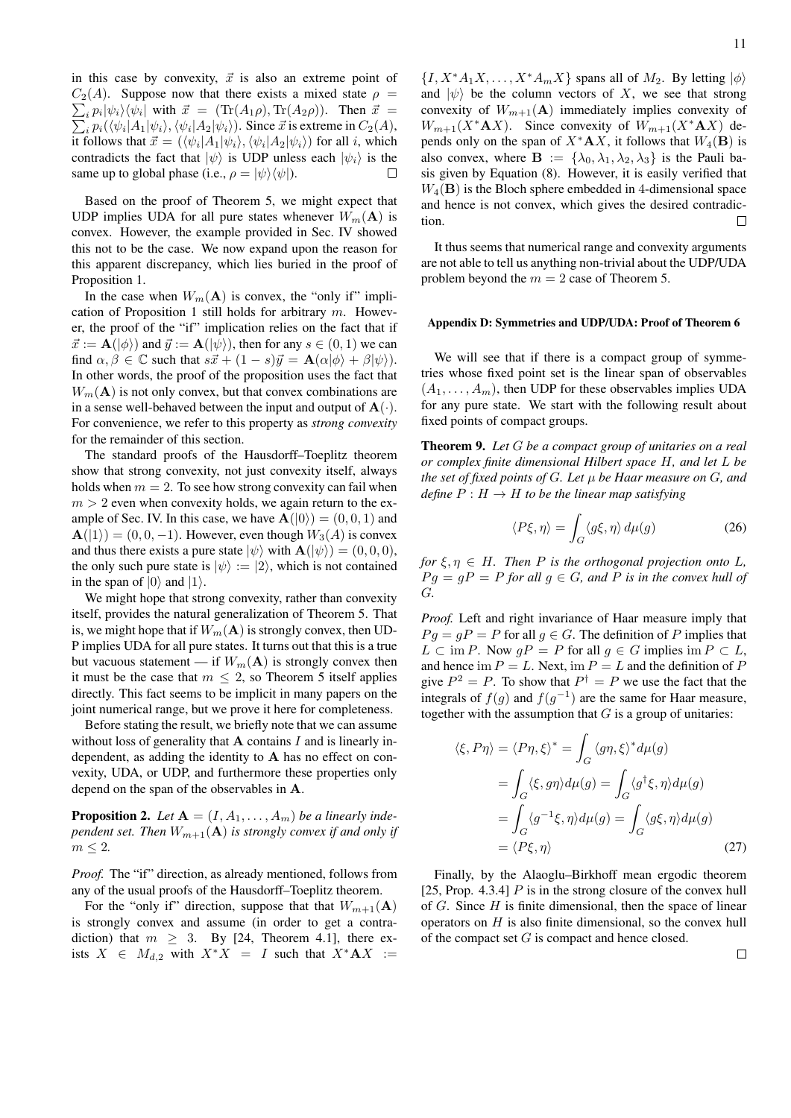in this case by convexity,  $\vec{x}$  is also an extreme point of  $C_2(A)$ . Suppose now that there exists a mixed state  $\rho =$  $\sum_i p_i |\psi_i\rangle \langle \psi_i|$ | with  $\vec{x} = (Tr(A_1\rho), Tr(A_2\rho))$ . Then  $\vec{x} =$  $\sum$  $_i p_i(\langle \psi_i | A_1 | \psi_i \rangle, \langle \psi_i | A_2 | \psi_i \rangle)$ . Since  $\vec{x}$  is extreme in  $C_2(A)$ , it follows that  $\vec{x} = (\langle \psi_i | A_1 | \psi_i \rangle, \langle \psi_i | A_2 | \psi_i \rangle)$  for all i, which contradicts the fact that  $|\psi\rangle$  is UDP unless each  $|\psi_i\rangle$  is the same up to global phase (i.e.,  $\rho = |\psi\rangle \langle \psi|$ ). П

Based on the proof of Theorem 5, we might expect that UDP implies UDA for all pure states whenever  $W_m(A)$  is convex. However, the example provided in Sec. IV showed this not to be the case. We now expand upon the reason for this apparent discrepancy, which lies buried in the proof of Proposition 1.

In the case when  $W_m(A)$  is convex, the "only if" implication of Proposition 1 still holds for arbitrary  $m$ . However, the proof of the "if" implication relies on the fact that if  $\vec{x} := \mathbf{A}(|\phi\rangle)$  and  $\vec{y} := \mathbf{A}(|\psi\rangle)$ , then for any  $s \in (0, 1)$  we can find  $\alpha, \beta \in \mathbb{C}$  such that  $s\vec{x} + (1 - s)\vec{y} = \mathbf{A}(\alpha|\phi\rangle + \beta|\psi\rangle).$ In other words, the proof of the proposition uses the fact that  $W_m(A)$  is not only convex, but that convex combinations are in a sense well-behaved between the input and output of  $A(\cdot)$ . For convenience, we refer to this property as *strong convexity* for the remainder of this section.

The standard proofs of the Hausdorff–Toeplitz theorem show that strong convexity, not just convexity itself, always holds when  $m = 2$ . To see how strong convexity can fail when  $m > 2$  even when convexity holds, we again return to the example of Sec. IV. In this case, we have  $\mathbf{A}(|0\rangle) = (0, 0, 1)$  and  $\mathbf{A}(|1\rangle) = (0, 0, -1)$ . However, even though  $W_3(A)$  is convex and thus there exists a pure state  $|\psi\rangle$  with  $\mathbf{A}(|\psi\rangle) = (0, 0, 0),$ the only such pure state is  $|\psi\rangle := |2\rangle$ , which is not contained in the span of  $|0\rangle$  and  $|1\rangle$ .

We might hope that strong convexity, rather than convexity itself, provides the natural generalization of Theorem 5. That is, we might hope that if  $W_m(A)$  is strongly convex, then UD-P implies UDA for all pure states. It turns out that this is a true but vacuous statement — if  $W_m(A)$  is strongly convex then it must be the case that  $m \leq 2$ , so Theorem 5 itself applies directly. This fact seems to be implicit in many papers on the joint numerical range, but we prove it here for completeness.

Before stating the result, we briefly note that we can assume without loss of generality that  $A$  contains  $I$  and is linearly independent, as adding the identity to A has no effect on convexity, UDA, or UDP, and furthermore these properties only depend on the span of the observables in A.

**Proposition 2.** Let  $A = (I, A_1, \ldots, A_m)$  be a linearly inde*pendent set. Then*  $W_{m+1}({\bf A})$  *is strongly convex if and only if*  $m \leq 2$ .

*Proof.* The "if" direction, as already mentioned, follows from any of the usual proofs of the Hausdorff–Toeplitz theorem.

For the "only if" direction, suppose that that  $W_{m+1}({\bf A})$ is strongly convex and assume (in order to get a contradiction) that  $m \geq 3$ . By [24, Theorem 4.1], there exists  $X \in M_{d,2}$  with  $X^*X = I$  such that  $X^*AX :=$ 

 $\{I, X^*A_1X, \ldots, X^*A_mX\}$  spans all of  $M_2$ . By letting  $|\phi\rangle$ and  $|\psi\rangle$  be the column vectors of X, we see that strong convexity of  $W_{m+1}({\bf A})$  immediately implies convexity of  $W_{m+1}(X^*AX)$ . Since convexity of  $W_{m+1}(X^*AX)$  depends only on the span of  $X^*A X$ , it follows that  $W_4(\mathbf{B})$  is also convex, where  $\mathbf{B} := {\lambda_0, \lambda_1, \lambda_2, \lambda_3}$  is the Pauli basis given by Equation (8). However, it is easily verified that  $W_4$ (B) is the Bloch sphere embedded in 4-dimensional space and hence is not convex, which gives the desired contradiction.  $\Box$ 

It thus seems that numerical range and convexity arguments are not able to tell us anything non-trivial about the UDP/UDA problem beyond the  $m = 2$  case of Theorem 5.

### Appendix D: Symmetries and UDP/UDA: Proof of Theorem 6

We will see that if there is a compact group of symmetries whose fixed point set is the linear span of observables  $(A_1, \ldots, A_m)$ , then UDP for these observables implies UDA for any pure state. We start with the following result about fixed points of compact groups.

Theorem 9. *Let* G *be a compact group of unitaries on a real or complex finite dimensional Hilbert space* H*, and let* L *be the set of fixed points of* G*. Let* µ *be Haar measure on* G*, and define*  $P : H \to H$  *to be the linear map satisfying* 

$$
\langle P\xi, \eta \rangle = \int_G \langle g\xi, \eta \rangle \, d\mu(g) \tag{26}
$$

*for*  $\xi, \eta \in H$ *. Then P is the orthogonal projection onto L*,  $Pq = qP = P$  *for all*  $q \in G$ *, and* P *is in the convex hull of* G*.*

*Proof.* Left and right invariance of Haar measure imply that  $Pg = gP = P$  for all  $g \in G$ . The definition of P implies that  $L \subset \text{im } P$ . Now  $gP = P$  for all  $g \in G$  implies im  $P \subset L$ , and hence im  $P = L$ . Next, im  $P = L$  and the definition of P give  $P^2 = P$ . To show that  $P^{\dagger} = P$  we use the fact that the integrals of  $f(g)$  and  $f(g^{-1})$  are the same for Haar measure, together with the assumption that  $G$  is a group of unitaries:

$$
\langle \xi, P\eta \rangle = \langle P\eta, \xi \rangle^* = \int_G \langle g\eta, \xi \rangle^* d\mu(g)
$$
  
= 
$$
\int_G \langle \xi, g\eta \rangle d\mu(g) = \int_G \langle g^\dagger \xi, \eta \rangle d\mu(g)
$$
  
= 
$$
\int_G \langle g^{-1} \xi, \eta \rangle d\mu(g) = \int_G \langle g\xi, \eta \rangle d\mu(g)
$$
  
= 
$$
\langle P\xi, \eta \rangle
$$
 (27)

Finally, by the Alaoglu–Birkhoff mean ergodic theorem [25, Prop. 4.3.4]  $P$  is in the strong closure of the convex hull of  $G$ . Since  $H$  is finite dimensional, then the space of linear operators on  $H$  is also finite dimensional, so the convex hull of the compact set  $G$  is compact and hence closed.

 $\Box$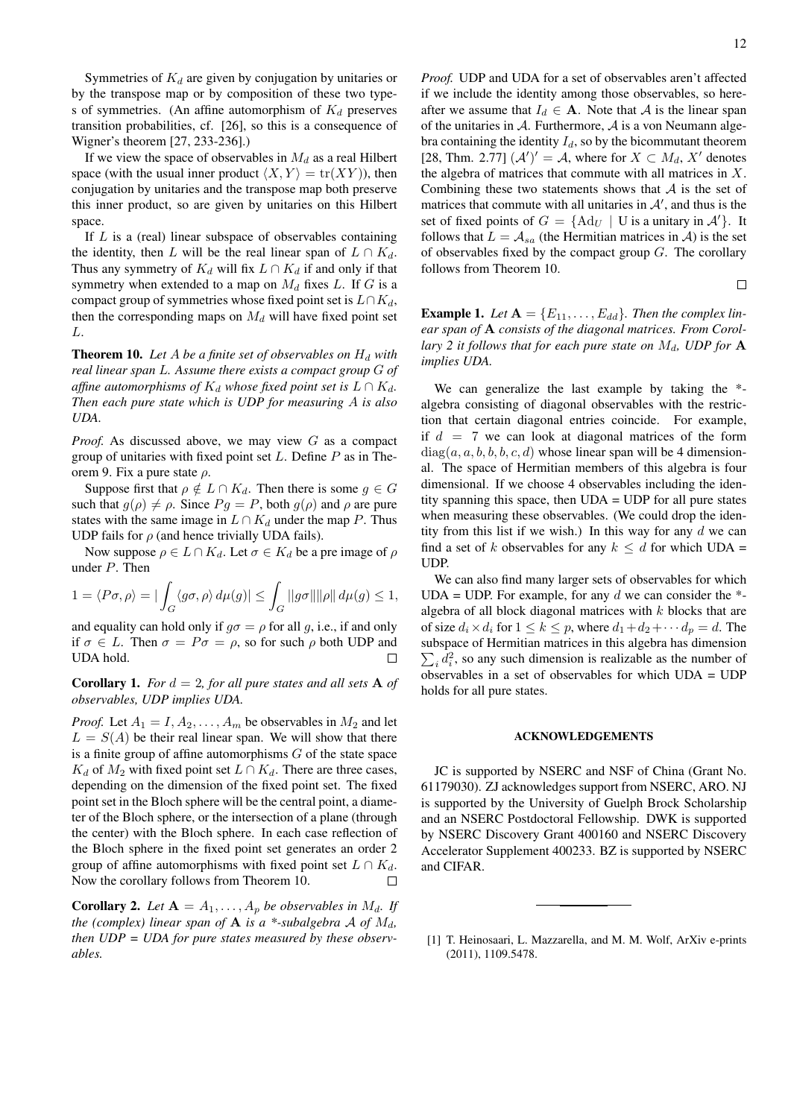Symmetries of  $K_d$  are given by conjugation by unitaries or by the transpose map or by composition of these two types of symmetries. (An affine automorphism of  $K_d$  preserves transition probabilities, cf. [26], so this is a consequence of Wigner's theorem [27, 233-236].)

If we view the space of observables in  $M_d$  as a real Hilbert space (with the usual inner product  $\langle X, Y \rangle = \text{tr}(XY)$ ), then conjugation by unitaries and the transpose map both preserve this inner product, so are given by unitaries on this Hilbert space.

If  $L$  is a (real) linear subspace of observables containing the identity, then L will be the real linear span of  $L \cap K_d$ . Thus any symmetry of  $K_d$  will fix  $L \cap K_d$  if and only if that symmetry when extended to a map on  $M_d$  fixes L. If G is a compact group of symmetries whose fixed point set is  $L \cap K_d$ , then the corresponding maps on  $M_d$  will have fixed point set L.

**Theorem 10.** Let  $A$  be a finite set of observables on  $H_d$  with *real linear span* L*. Assume there exists a compact group* G *of affine automorphisms of*  $K_d$  *whose fixed point set is*  $L \cap K_d$ *. Then each pure state which is UDP for measuring* A *is also UDA.*

*Proof.* As discussed above, we may view G as a compact group of unitaries with fixed point set  $L$ . Define  $P$  as in Theorem 9. Fix a pure state  $\rho$ .

Suppose first that  $\rho \notin L \cap K_d$ . Then there is some  $g \in G$ such that  $g(\rho) \neq \rho$ . Since  $Pg = P$ , both  $g(\rho)$  and  $\rho$  are pure states with the same image in  $L \cap K_d$  under the map P. Thus UDP fails for  $\rho$  (and hence trivially UDA fails).

Now suppose  $\rho \in L \cap K_d$ . Let  $\sigma \in K_d$  be a pre image of  $\rho$ under P. Then

$$
1 = \langle P\sigma, \rho \rangle = |\int_G \langle g\sigma, \rho \rangle d\mu(g)| \le \int_G ||g\sigma|| ||\rho|| d\mu(g) \le 1,
$$

and equality can hold only if  $q\sigma = \rho$  for all q, i.e., if and only if  $\sigma \in L$ . Then  $\sigma = P\sigma = \rho$ , so for such  $\rho$  both UDP and UDA hold.  $\Box$ 

**Corollary 1.** *For*  $d = 2$ *, for all pure states and all sets* **A** *of observables, UDP implies UDA.*

*Proof.* Let  $A_1 = I, A_2, \ldots, A_m$  be observables in  $M_2$  and let  $L = S(A)$  be their real linear span. We will show that there is a finite group of affine automorphisms  $G$  of the state space  $K_d$  of  $M_2$  with fixed point set  $L \cap K_d$ . There are three cases, depending on the dimension of the fixed point set. The fixed point set in the Bloch sphere will be the central point, a diameter of the Bloch sphere, or the intersection of a plane (through the center) with the Bloch sphere. In each case reflection of the Bloch sphere in the fixed point set generates an order 2 group of affine automorphisms with fixed point set  $L \cap K_d$ . Now the corollary follows from Theorem 10.  $\Box$ 

**Corollary 2.** Let  $A = A_1, \ldots, A_p$  be observables in  $M_d$ . If *the (complex) linear span of* **A** *is a* \*-subalgebra A of  $M_d$ , *then UDP = UDA for pure states measured by these observables.*

*Proof.* UDP and UDA for a set of observables aren't affected if we include the identity among those observables, so hereafter we assume that  $I_d \in \mathbf{A}$ . Note that A is the linear span of the unitaries in  $A$ . Furthermore,  $A$  is a von Neumann algebra containing the identity  $I_d$ , so by the bicommutant theorem [28, Thm. 2.77]  $({\mathcal{A}}')' = {\mathcal{A}}$ , where for  $X \subset M_d$ , X' denotes the algebra of matrices that commute with all matrices in X. Combining these two statements shows that  $A$  is the set of matrices that commute with all unitaries in  $A'$ , and thus is the set of fixed points of  $G = \{ \text{Ad}_U | \text{U} \text{ is a unitary in } \mathcal{A}' \}$ . It follows that  $L = A_{sa}$  (the Hermitian matrices in A) is the set of observables fixed by the compact group  $G$ . The corollary follows from Theorem 10.

**Example 1.** Let  $A = \{E_{11}, \ldots, E_{dd}\}$ . Then the complex lin*ear span of* A *consists of the diagonal matrices. From Corollary 2 it follows that for each pure state on*  $M_d$ , *UDP for* **A** *implies UDA.*

We can generalize the last example by taking the  $*$ algebra consisting of diagonal observables with the restriction that certain diagonal entries coincide. For example, if  $d = 7$  we can look at diagonal matrices of the form  $diag(a, a, b, b, b, c, d)$  whose linear span will be 4 dimensional. The space of Hermitian members of this algebra is four dimensional. If we choose 4 observables including the identity spanning this space, then UDA = UDP for all pure states when measuring these observables. (We could drop the identity from this list if we wish.) In this way for any  $d$  we can find a set of k observables for any  $k \leq d$  for which UDA = UDP.

We can also find many larger sets of observables for which UDA = UDP. For example, for any  $d$  we can consider the  $*$ algebra of all block diagonal matrices with  $k$  blocks that are of size  $d_i \times d_i$  for  $1 \leq k \leq p$ , where  $d_1 + d_2 + \cdots + d_p = d$ . The subspace of Hermitian matrices in this algebra has dimension  $\sum_i d_i^2$ , so any such dimension is realizable as the number of observables in a set of observables for which UDA = UDP holds for all pure states.

### ACKNOWLEDGEMENTS

JC is supported by NSERC and NSF of China (Grant No. 61179030). ZJ acknowledges support from NSERC, ARO. NJ is supported by the University of Guelph Brock Scholarship and an NSERC Postdoctoral Fellowship. DWK is supported by NSERC Discovery Grant 400160 and NSERC Discovery Accelerator Supplement 400233. BZ is supported by NSERC and CIFAR.

 $\Box$ 

<sup>[1]</sup> T. Heinosaari, L. Mazzarella, and M. M. Wolf, ArXiv e-prints (2011), 1109.5478.